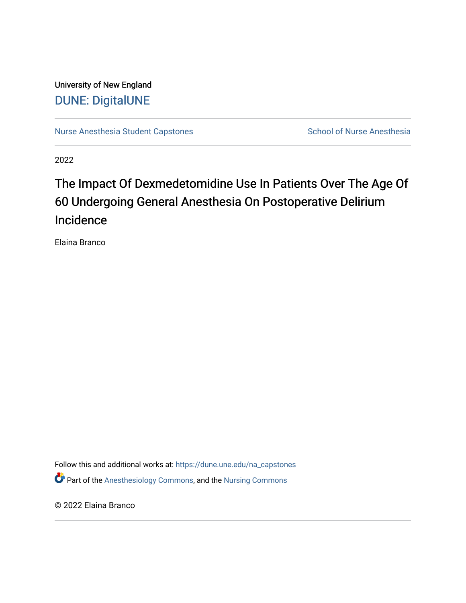University of New England [DUNE: DigitalUNE](https://dune.une.edu/) 

[Nurse Anesthesia Student Capstones](https://dune.une.edu/na_capstones) School of Nurse Anesthesia

2022

# The Impact Of Dexmedetomidine Use In Patients Over The Age Of 60 Undergoing General Anesthesia On Postoperative Delirium Incidence

Elaina Branco

Follow this and additional works at: [https://dune.une.edu/na\\_capstones](https://dune.une.edu/na_capstones?utm_source=dune.une.edu%2Fna_capstones%2F46&utm_medium=PDF&utm_campaign=PDFCoverPages) **P** Part of the [Anesthesiology Commons](https://network.bepress.com/hgg/discipline/682?utm_source=dune.une.edu%2Fna_capstones%2F46&utm_medium=PDF&utm_campaign=PDFCoverPages), and the Nursing Commons

© 2022 Elaina Branco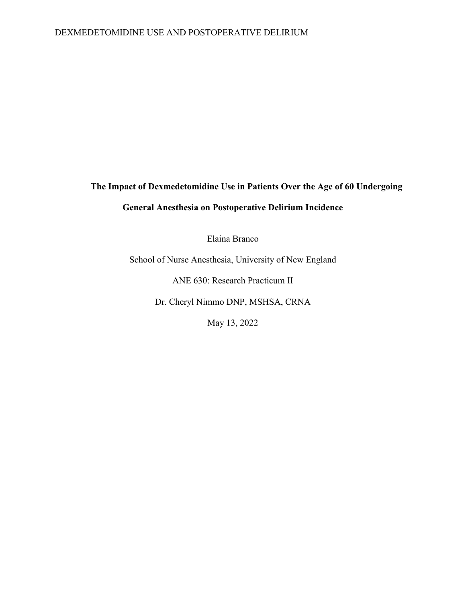## DEXMEDETOMIDINE USE AND POSTOPERATIVE DELIRIUM

# **The Impact of Dexmedetomidine Use in Patients Over the Age of 60 Undergoing General Anesthesia on Postoperative Delirium Incidence**

Elaina Branco

School of Nurse Anesthesia, University of New England

ANE 630: Research Practicum II

Dr. Cheryl Nimmo DNP, MSHSA, CRNA

May 13, 2022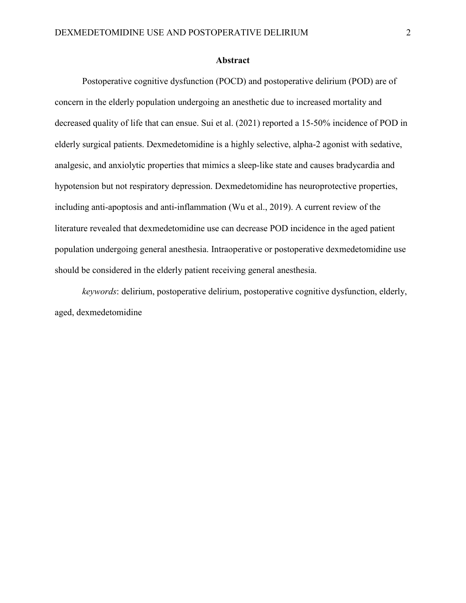#### **Abstract**

Postoperative cognitive dysfunction (POCD) and postoperative delirium (POD) are of concern in the elderly population undergoing an anesthetic due to increased mortality and decreased quality of life that can ensue. Sui et al. (2021) reported a 15-50% incidence of POD in elderly surgical patients. Dexmedetomidine is a highly selective, alpha-2 agonist with sedative, analgesic, and anxiolytic properties that mimics a sleep-like state and causes bradycardia and hypotension but not respiratory depression. Dexmedetomidine has neuroprotective properties, including anti-apoptosis and anti-inflammation (Wu et al., 2019). A current review of the literature revealed that dexmedetomidine use can decrease POD incidence in the aged patient population undergoing general anesthesia. Intraoperative or postoperative dexmedetomidine use should be considered in the elderly patient receiving general anesthesia.

*keywords*: delirium, postoperative delirium, postoperative cognitive dysfunction, elderly, aged, dexmedetomidine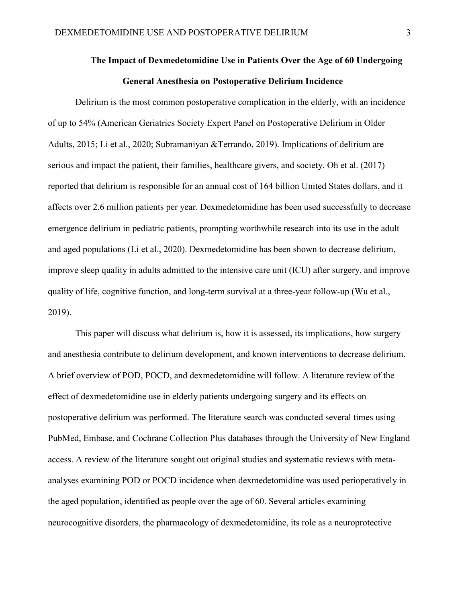## **The Impact of Dexmedetomidine Use in Patients Over the Age of 60 Undergoing General Anesthesia on Postoperative Delirium Incidence**

Delirium is the most common postoperative complication in the elderly, with an incidence of up to 54% (American Geriatrics Society Expert Panel on Postoperative Delirium in Older Adults, 2015; Li et al., 2020; Subramaniyan &Terrando, 2019). Implications of delirium are serious and impact the patient, their families, healthcare givers, and society. Oh et al. (2017) reported that delirium is responsible for an annual cost of 164 billion United States dollars, and it affects over 2.6 million patients per year. Dexmedetomidine has been used successfully to decrease emergence delirium in pediatric patients, prompting worthwhile research into its use in the adult and aged populations (Li et al., 2020). Dexmedetomidine has been shown to decrease delirium, improve sleep quality in adults admitted to the intensive care unit (ICU) after surgery, and improve quality of life, cognitive function, and long-term survival at a three-year follow-up (Wu et al., 2019).

This paper will discuss what delirium is, how it is assessed, its implications, how surgery and anesthesia contribute to delirium development, and known interventions to decrease delirium. A brief overview of POD, POCD, and dexmedetomidine will follow. A literature review of the effect of dexmedetomidine use in elderly patients undergoing surgery and its effects on postoperative delirium was performed. The literature search was conducted several times using PubMed, Embase, and Cochrane Collection Plus databases through the University of New England access. A review of the literature sought out original studies and systematic reviews with metaanalyses examining POD or POCD incidence when dexmedetomidine was used perioperatively in the aged population, identified as people over the age of 60. Several articles examining neurocognitive disorders, the pharmacology of dexmedetomidine, its role as a neuroprotective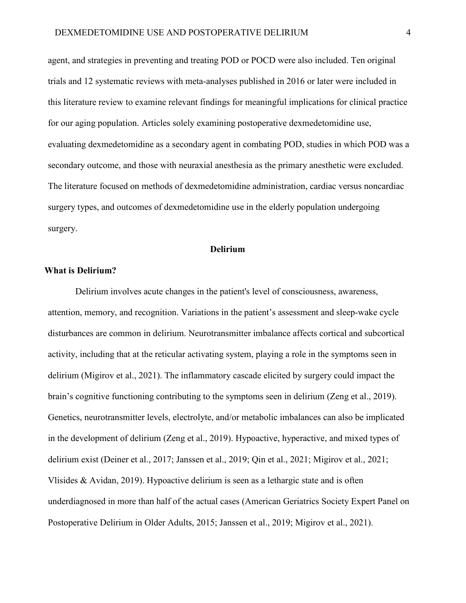agent, and strategies in preventing and treating POD or POCD were also included. Ten original trials and 12 systematic reviews with meta-analyses published in 2016 or later were included in this literature review to examine relevant findings for meaningful implications for clinical practice for our aging population. Articles solely examining postoperative dexmedetomidine use, evaluating dexmedetomidine as a secondary agent in combating POD, studies in which POD was a secondary outcome, and those with neuraxial anesthesia as the primary anesthetic were excluded. The literature focused on methods of dexmedetomidine administration, cardiac versus noncardiac surgery types, and outcomes of dexmedetomidine use in the elderly population undergoing surgery.

#### **Delirium**

#### **What is Delirium?**

Delirium involves acute changes in the patient's level of consciousness, awareness, attention, memory, and recognition. Variations in the patient's assessment and sleep-wake cycle disturbances are common in delirium. Neurotransmitter imbalance affects cortical and subcortical activity, including that at the reticular activating system, playing a role in the symptoms seen in delirium (Migirov et al., 2021). The inflammatory cascade elicited by surgery could impact the brain's cognitive functioning contributing to the symptoms seen in delirium (Zeng et al., 2019). Genetics, neurotransmitter levels, electrolyte, and/or metabolic imbalances can also be implicated in the development of delirium (Zeng et al., 2019). Hypoactive, hyperactive, and mixed types of delirium exist (Deiner et al., 2017; Janssen et al., 2019; Qin et al., 2021; Migirov et al., 2021; Vlisides & Avidan, 2019). Hypoactive delirium is seen as a lethargic state and is often underdiagnosed in more than half of the actual cases (American Geriatrics Society Expert Panel on Postoperative Delirium in Older Adults, 2015; Janssen et al., 2019; Migirov et al., 2021).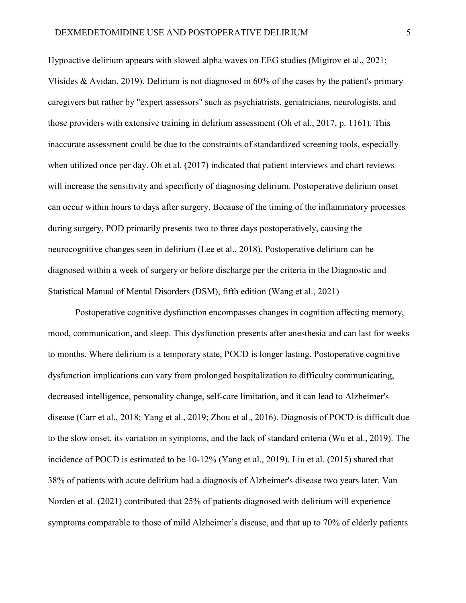Hypoactive delirium appears with slowed alpha waves on EEG studies (Migirov et al., 2021; Vlisides & Avidan, 2019). Delirium is not diagnosed in 60% of the cases by the patient's primary caregivers but rather by "expert assessors" such as psychiatrists, geriatricians, neurologists, and those providers with extensive training in delirium assessment (Oh et al., 2017, p. 1161). This inaccurate assessment could be due to the constraints of standardized screening tools, especially when utilized once per day. Oh et al. (2017) indicated that patient interviews and chart reviews will increase the sensitivity and specificity of diagnosing delirium. Postoperative delirium onset can occur within hours to days after surgery. Because of the timing of the inflammatory processes during surgery, POD primarily presents two to three days postoperatively, causing the neurocognitive changes seen in delirium (Lee et al., 2018). Postoperative delirium can be diagnosed within a week of surgery or before discharge per the criteria in the Diagnostic and Statistical Manual of Mental Disorders (DSM), fifth edition (Wang et al., 2021)

Postoperative cognitive dysfunction encompasses changes in cognition affecting memory, mood, communication, and sleep. This dysfunction presents after anesthesia and can last for weeks to months. Where delirium is a temporary state, POCD is longer lasting. Postoperative cognitive dysfunction implications can vary from prolonged hospitalization to difficulty communicating, decreased intelligence, personality change, self-care limitation, and it can lead to Alzheimer's disease (Carr et al., 2018; Yang et al., 2019; Zhou et al., 2016). Diagnosis of POCD is difficult due to the slow onset, its variation in symptoms, and the lack of standard criteria (Wu et al., 2019). The incidence of POCD is estimated to be 10-12% (Yang et al., 2019). Liu et al. (2015) shared that 38% of patients with acute delirium had a diagnosis of Alzheimer's disease two years later. Van Norden et al. (2021) contributed that 25% of patients diagnosed with delirium will experience symptoms comparable to those of mild Alzheimer's disease, and that up to 70% of elderly patients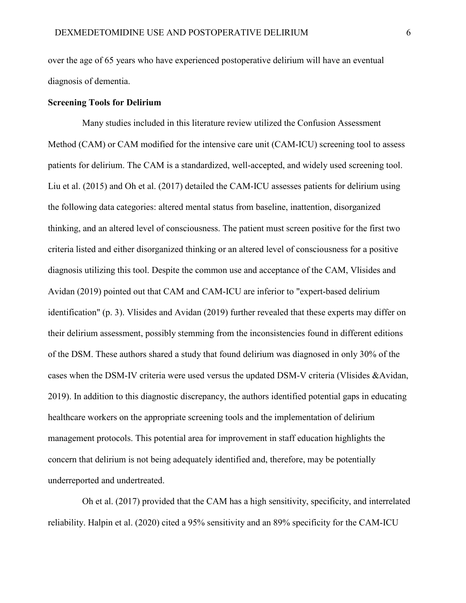over the age of 65 years who have experienced postoperative delirium will have an eventual diagnosis of dementia.

## **Screening Tools for Delirium**

Many studies included in this literature review utilized the Confusion Assessment Method (CAM) or CAM modified for the intensive care unit (CAM-ICU) screening tool to assess patients for delirium. The CAM is a standardized, well-accepted, and widely used screening tool. Liu et al. (2015) and Oh et al. (2017) detailed the CAM-ICU assesses patients for delirium using the following data categories: altered mental status from baseline, inattention, disorganized thinking, and an altered level of consciousness. The patient must screen positive for the first two criteria listed and either disorganized thinking or an altered level of consciousness for a positive diagnosis utilizing this tool. Despite the common use and acceptance of the CAM, Vlisides and Avidan (2019) pointed out that CAM and CAM-ICU are inferior to "expert-based delirium identification" (p. 3). Vlisides and Avidan (2019) further revealed that these experts may differ on their delirium assessment, possibly stemming from the inconsistencies found in different editions of the DSM. These authors shared a study that found delirium was diagnosed in only 30% of the cases when the DSM-IV criteria were used versus the updated DSM-V criteria (Vlisides &Avidan, 2019). In addition to this diagnostic discrepancy, the authors identified potential gaps in educating healthcare workers on the appropriate screening tools and the implementation of delirium management protocols. This potential area for improvement in staff education highlights the concern that delirium is not being adequately identified and, therefore, may be potentially underreported and undertreated.

Oh et al. (2017) provided that the CAM has a high sensitivity, specificity, and interrelated reliability. Halpin et al. (2020) cited a 95% sensitivity and an 89% specificity for the CAM-ICU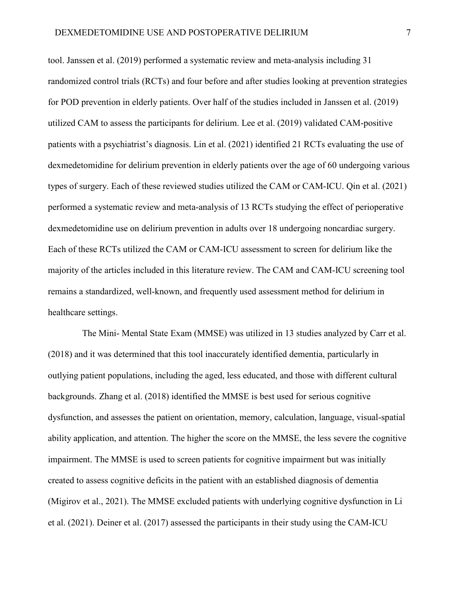tool. Janssen et al. (2019) performed a systematic review and meta-analysis including 31 randomized control trials (RCTs) and four before and after studies looking at prevention strategies for POD prevention in elderly patients. Over half of the studies included in Janssen et al. (2019) utilized CAM to assess the participants for delirium. Lee et al. (2019) validated CAM-positive patients with a psychiatrist's diagnosis. Lin et al. (2021) identified 21 RCTs evaluating the use of dexmedetomidine for delirium prevention in elderly patients over the age of 60 undergoing various types of surgery. Each of these reviewed studies utilized the CAM or CAM-ICU. Qin et al. (2021) performed a systematic review and meta-analysis of 13 RCTs studying the effect of perioperative dexmedetomidine use on delirium prevention in adults over 18 undergoing noncardiac surgery. Each of these RCTs utilized the CAM or CAM-ICU assessment to screen for delirium like the majority of the articles included in this literature review. The CAM and CAM-ICU screening tool remains a standardized, well-known, and frequently used assessment method for delirium in healthcare settings.

The Mini- Mental State Exam (MMSE) was utilized in 13 studies analyzed by Carr et al. (2018) and it was determined that this tool inaccurately identified dementia, particularly in outlying patient populations, including the aged, less educated, and those with different cultural backgrounds. Zhang et al. (2018) identified the MMSE is best used for serious cognitive dysfunction, and assesses the patient on orientation, memory, calculation, language, visual-spatial ability application, and attention. The higher the score on the MMSE, the less severe the cognitive impairment. The MMSE is used to screen patients for cognitive impairment but was initially created to assess cognitive deficits in the patient with an established diagnosis of dementia (Migirov et al., 2021). The MMSE excluded patients with underlying cognitive dysfunction in Li et al. (2021). Deiner et al. (2017) assessed the participants in their study using the CAM-ICU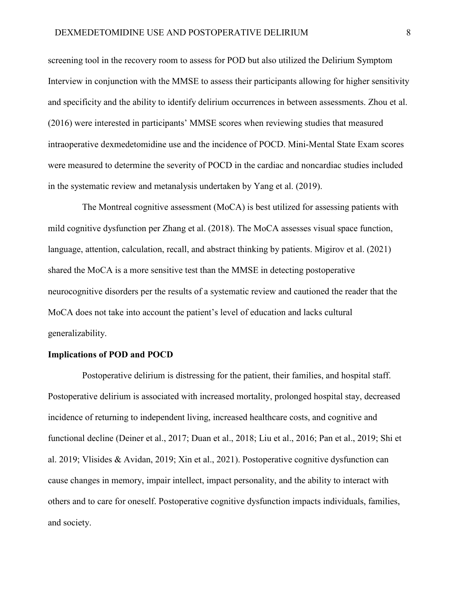screening tool in the recovery room to assess for POD but also utilized the Delirium Symptom Interview in conjunction with the MMSE to assess their participants allowing for higher sensitivity and specificity and the ability to identify delirium occurrences in between assessments. Zhou et al. (2016) were interested in participants' MMSE scores when reviewing studies that measured intraoperative dexmedetomidine use and the incidence of POCD. Mini-Mental State Exam scores were measured to determine the severity of POCD in the cardiac and noncardiac studies included in the systematic review and metanalysis undertaken by Yang et al. (2019).

The Montreal cognitive assessment (MoCA) is best utilized for assessing patients with mild cognitive dysfunction per Zhang et al. (2018). The MoCA assesses visual space function, language, attention, calculation, recall, and abstract thinking by patients. Migirov et al. (2021) shared the MoCA is a more sensitive test than the MMSE in detecting postoperative neurocognitive disorders per the results of a systematic review and cautioned the reader that the MoCA does not take into account the patient's level of education and lacks cultural generalizability.

#### **Implications of POD and POCD**

Postoperative delirium is distressing for the patient, their families, and hospital staff. Postoperative delirium is associated with increased mortality, prolonged hospital stay, decreased incidence of returning to independent living, increased healthcare costs, and cognitive and functional decline (Deiner et al., 2017; Duan et al., 2018; Liu et al., 2016; Pan et al., 2019; Shi et al. 2019; Vlisides & Avidan, 2019; Xin et al., 2021). Postoperative cognitive dysfunction can cause changes in memory, impair intellect, impact personality, and the ability to interact with others and to care for oneself. Postoperative cognitive dysfunction impacts individuals, families, and society.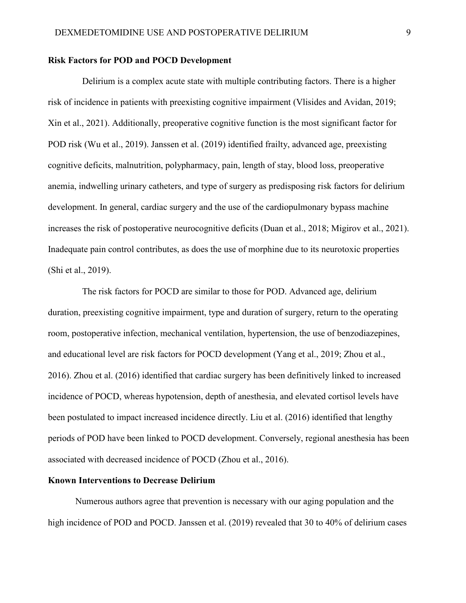### **Risk Factors for POD and POCD Development**

Delirium is a complex acute state with multiple contributing factors. There is a higher risk of incidence in patients with preexisting cognitive impairment (Vlisides and Avidan, 2019; Xin et al., 2021). Additionally, preoperative cognitive function is the most significant factor for POD risk (Wu et al., 2019). Janssen et al. (2019) identified frailty, advanced age, preexisting cognitive deficits, malnutrition, polypharmacy, pain, length of stay, blood loss, preoperative anemia, indwelling urinary catheters, and type of surgery as predisposing risk factors for delirium development. In general, cardiac surgery and the use of the cardiopulmonary bypass machine increases the risk of postoperative neurocognitive deficits (Duan et al., 2018; Migirov et al., 2021). Inadequate pain control contributes, as does the use of morphine due to its neurotoxic properties (Shi et al., 2019).

The risk factors for POCD are similar to those for POD. Advanced age, delirium duration, preexisting cognitive impairment, type and duration of surgery, return to the operating room, postoperative infection, mechanical ventilation, hypertension, the use of benzodiazepines, and educational level are risk factors for POCD development (Yang et al., 2019; Zhou et al., 2016). Zhou et al. (2016) identified that cardiac surgery has been definitively linked to increased incidence of POCD, whereas hypotension, depth of anesthesia, and elevated cortisol levels have been postulated to impact increased incidence directly. Liu et al. (2016) identified that lengthy periods of POD have been linked to POCD development. Conversely, regional anesthesia has been associated with decreased incidence of POCD (Zhou et al., 2016).

#### **Known Interventions to Decrease Delirium**

Numerous authors agree that prevention is necessary with our aging population and the high incidence of POD and POCD. Janssen et al. (2019) revealed that 30 to 40% of delirium cases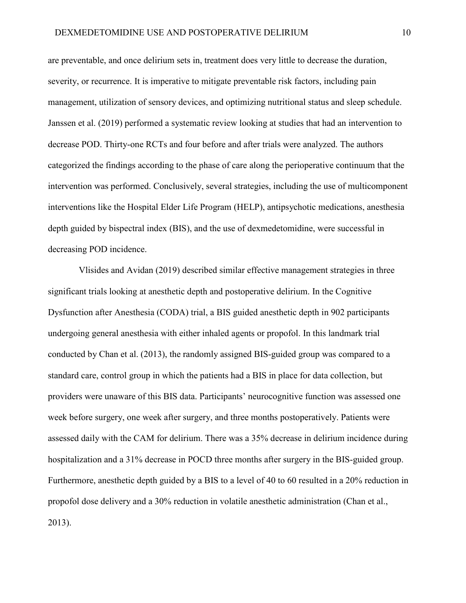are preventable, and once delirium sets in, treatment does very little to decrease the duration, severity, or recurrence. It is imperative to mitigate preventable risk factors, including pain management, utilization of sensory devices, and optimizing nutritional status and sleep schedule. Janssen et al. (2019) performed a systematic review looking at studies that had an intervention to decrease POD. Thirty-one RCTs and four before and after trials were analyzed. The authors categorized the findings according to the phase of care along the perioperative continuum that the intervention was performed. Conclusively, several strategies, including the use of multicomponent interventions like the Hospital Elder Life Program (HELP), antipsychotic medications, anesthesia depth guided by bispectral index (BIS), and the use of dexmedetomidine, were successful in decreasing POD incidence.

Vlisides and Avidan (2019) described similar effective management strategies in three significant trials looking at anesthetic depth and postoperative delirium. In the Cognitive Dysfunction after Anesthesia (CODA) trial, a BIS guided anesthetic depth in 902 participants undergoing general anesthesia with either inhaled agents or propofol. In this landmark trial conducted by Chan et al. (2013), the randomly assigned BIS-guided group was compared to a standard care, control group in which the patients had a BIS in place for data collection, but providers were unaware of this BIS data. Participants' neurocognitive function was assessed one week before surgery, one week after surgery, and three months postoperatively. Patients were assessed daily with the CAM for delirium. There was a 35% decrease in delirium incidence during hospitalization and a 31% decrease in POCD three months after surgery in the BIS-guided group. Furthermore, anesthetic depth guided by a BIS to a level of 40 to 60 resulted in a 20% reduction in propofol dose delivery and a 30% reduction in volatile anesthetic administration (Chan et al., 2013).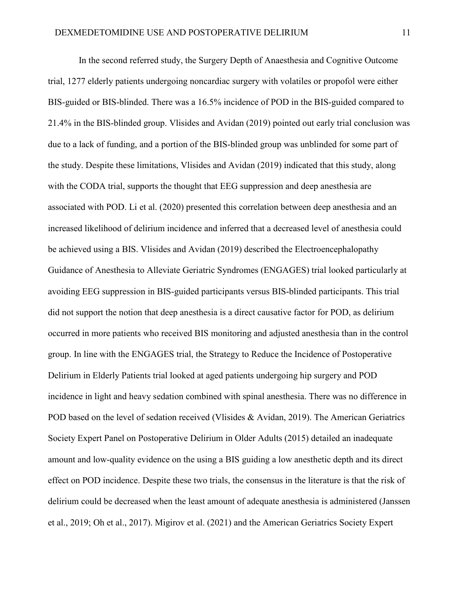In the second referred study, the Surgery Depth of Anaesthesia and Cognitive Outcome trial, 1277 elderly patients undergoing noncardiac surgery with volatiles or propofol were either BIS-guided or BIS-blinded. There was a 16.5% incidence of POD in the BIS-guided compared to 21.4% in the BIS-blinded group. Vlisides and Avidan (2019) pointed out early trial conclusion was due to a lack of funding, and a portion of the BIS-blinded group was unblinded for some part of the study. Despite these limitations, Vlisides and Avidan (2019) indicated that this study, along with the CODA trial, supports the thought that EEG suppression and deep anesthesia are associated with POD. Li et al. (2020) presented this correlation between deep anesthesia and an increased likelihood of delirium incidence and inferred that a decreased level of anesthesia could be achieved using a BIS. Vlisides and Avidan (2019) described the Electroencephalopathy Guidance of Anesthesia to Alleviate Geriatric Syndromes (ENGAGES) trial looked particularly at avoiding EEG suppression in BIS-guided participants versus BIS-blinded participants. This trial did not support the notion that deep anesthesia is a direct causative factor for POD, as delirium occurred in more patients who received BIS monitoring and adjusted anesthesia than in the control group. In line with the ENGAGES trial, the Strategy to Reduce the Incidence of Postoperative Delirium in Elderly Patients trial looked at aged patients undergoing hip surgery and POD incidence in light and heavy sedation combined with spinal anesthesia. There was no difference in POD based on the level of sedation received (Vlisides & Avidan, 2019). The American Geriatrics Society Expert Panel on Postoperative Delirium in Older Adults (2015) detailed an inadequate amount and low-quality evidence on the using a BIS guiding a low anesthetic depth and its direct effect on POD incidence. Despite these two trials, the consensus in the literature is that the risk of delirium could be decreased when the least amount of adequate anesthesia is administered (Janssen et al., 2019; Oh et al., 2017). Migirov et al. (2021) and the American Geriatrics Society Expert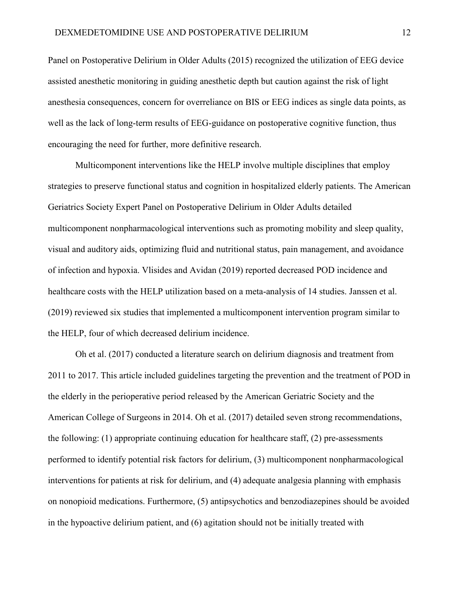Panel on Postoperative Delirium in Older Adults (2015) recognized the utilization of EEG device assisted anesthetic monitoring in guiding anesthetic depth but caution against the risk of light anesthesia consequences, concern for overreliance on BIS or EEG indices as single data points, as well as the lack of long-term results of EEG-guidance on postoperative cognitive function, thus encouraging the need for further, more definitive research.

Multicomponent interventions like the HELP involve multiple disciplines that employ strategies to preserve functional status and cognition in hospitalized elderly patients. The American Geriatrics Society Expert Panel on Postoperative Delirium in Older Adults detailed multicomponent nonpharmacological interventions such as promoting mobility and sleep quality, visual and auditory aids, optimizing fluid and nutritional status, pain management, and avoidance of infection and hypoxia. Vlisides and Avidan (2019) reported decreased POD incidence and healthcare costs with the HELP utilization based on a meta-analysis of 14 studies. Janssen et al. (2019) reviewed six studies that implemented a multicomponent intervention program similar to the HELP, four of which decreased delirium incidence.

Oh et al. (2017) conducted a literature search on delirium diagnosis and treatment from 2011 to 2017. This article included guidelines targeting the prevention and the treatment of POD in the elderly in the perioperative period released by the American Geriatric Society and the American College of Surgeons in 2014. Oh et al. (2017) detailed seven strong recommendations, the following: (1) appropriate continuing education for healthcare staff, (2) pre-assessments performed to identify potential risk factors for delirium, (3) multicomponent nonpharmacological interventions for patients at risk for delirium, and (4) adequate analgesia planning with emphasis on nonopioid medications. Furthermore, (5) antipsychotics and benzodiazepines should be avoided in the hypoactive delirium patient, and (6) agitation should not be initially treated with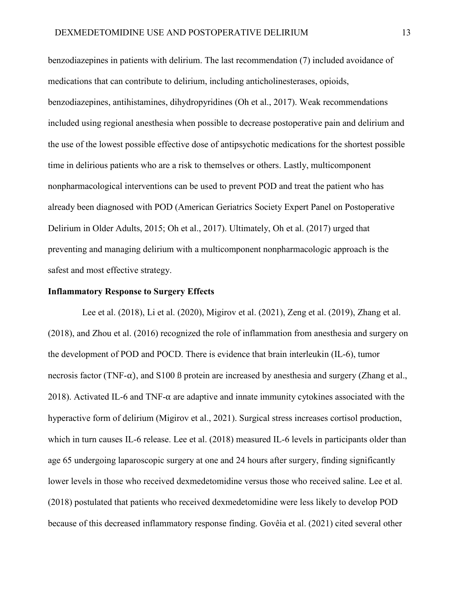benzodiazepines in patients with delirium. The last recommendation (7) included avoidance of medications that can contribute to delirium, including anticholinesterases, opioids, benzodiazepines, antihistamines, dihydropyridines (Oh et al., 2017). Weak recommendations included using regional anesthesia when possible to decrease postoperative pain and delirium and the use of the lowest possible effective dose of antipsychotic medications for the shortest possible time in delirious patients who are a risk to themselves or others. Lastly, multicomponent nonpharmacological interventions can be used to prevent POD and treat the patient who has already been diagnosed with POD (American Geriatrics Society Expert Panel on Postoperative Delirium in Older Adults, 2015; Oh et al., 2017). Ultimately, Oh et al. (2017) urged that preventing and managing delirium with a multicomponent nonpharmacologic approach is the safest and most effective strategy.

#### **Inflammatory Response to Surgery Effects**

Lee et al. (2018), Li et al. (2020), Migirov et al. (2021), Zeng et al. (2019), Zhang et al. (2018), and Zhou et al. (2016) recognized the role of inflammation from anesthesia and surgery on the development of POD and POCD. There is evidence that brain interleukin (IL-6), tumor necrosis factor (TNF- $\alpha$ ), and S100 ß protein are increased by anesthesia and surgery (Zhang et al., 2018). Activated IL-6 and TNF- $\alpha$  are adaptive and innate immunity cytokines associated with the hyperactive form of delirium (Migirov et al., 2021). Surgical stress increases cortisol production, which in turn causes IL-6 release. Lee et al. (2018) measured IL-6 levels in participants older than age 65 undergoing laparoscopic surgery at one and 24 hours after surgery, finding significantly lower levels in those who received dexmedetomidine versus those who received saline. Lee et al. (2018) postulated that patients who received dexmedetomidine were less likely to develop POD because of this decreased inflammatory response finding. Govêia et al. (2021) cited several other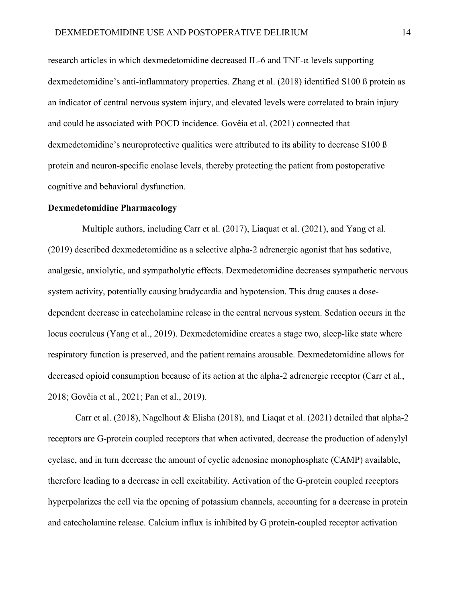research articles in which dexmedetomidine decreased IL-6 and TNF- $\alpha$  levels supporting dexmedetomidine's anti-inflammatory properties. Zhang et al. (2018) identified S100 ß protein as an indicator of central nervous system injury, and elevated levels were correlated to brain injury and could be associated with POCD incidence. Govêia et al. (2021) connected that dexmedetomidine's neuroprotective qualities were attributed to its ability to decrease S100 ß protein and neuron-specific enolase levels, thereby protecting the patient from postoperative cognitive and behavioral dysfunction.

#### **Dexmedetomidine Pharmacology**

Multiple authors, including Carr et al. (2017), Liaquat et al. (2021), and Yang et al. (2019) described dexmedetomidine as a selective alpha-2 adrenergic agonist that has sedative, analgesic, anxiolytic, and sympatholytic effects. Dexmedetomidine decreases sympathetic nervous system activity, potentially causing bradycardia and hypotension. This drug causes a dosedependent decrease in catecholamine release in the central nervous system. Sedation occurs in the locus coeruleus (Yang et al., 2019). Dexmedetomidine creates a stage two, sleep-like state where respiratory function is preserved, and the patient remains arousable. Dexmedetomidine allows for decreased opioid consumption because of its action at the alpha-2 adrenergic receptor (Carr et al., 2018; Govêia et al., 2021; Pan et al., 2019).

Carr et al. (2018), Nagelhout & Elisha (2018), and Liaqat et al. (2021) detailed that alpha-2 receptors are G-protein coupled receptors that when activated, decrease the production of adenylyl cyclase, and in turn decrease the amount of cyclic adenosine monophosphate (CAMP) available, therefore leading to a decrease in cell excitability. Activation of the G-protein coupled receptors hyperpolarizes the cell via the opening of potassium channels, accounting for a decrease in protein and catecholamine release. Calcium influx is inhibited by G protein-coupled receptor activation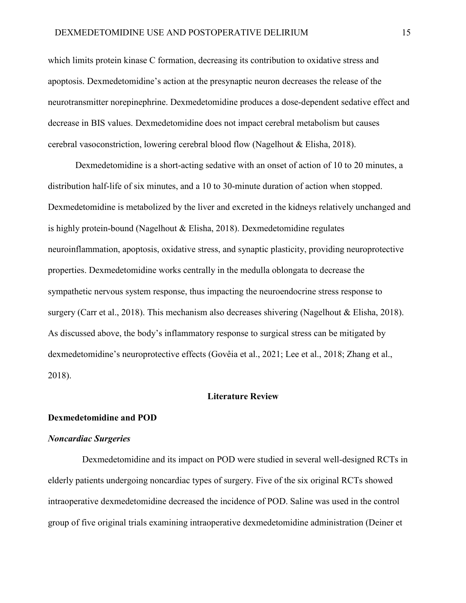which limits protein kinase C formation, decreasing its contribution to oxidative stress and apoptosis. Dexmedetomidine's action at the presynaptic neuron decreases the release of the neurotransmitter norepinephrine. Dexmedetomidine produces a dose-dependent sedative effect and decrease in BIS values. Dexmedetomidine does not impact cerebral metabolism but causes cerebral vasoconstriction, lowering cerebral blood flow (Nagelhout & Elisha, 2018).

Dexmedetomidine is a short-acting sedative with an onset of action of 10 to 20 minutes, a distribution half-life of six minutes, and a 10 to 30-minute duration of action when stopped. Dexmedetomidine is metabolized by the liver and excreted in the kidneys relatively unchanged and is highly protein-bound (Nagelhout & Elisha, 2018). Dexmedetomidine regulates neuroinflammation, apoptosis, oxidative stress, and synaptic plasticity, providing neuroprotective properties. Dexmedetomidine works centrally in the medulla oblongata to decrease the sympathetic nervous system response, thus impacting the neuroendocrine stress response to surgery (Carr et al., 2018). This mechanism also decreases shivering (Nagelhout & Elisha, 2018). As discussed above, the body's inflammatory response to surgical stress can be mitigated by dexmedetomidine's neuroprotective effects (Govêia et al., 2021; Lee et al., 2018; Zhang et al., 2018).

#### **Literature Review**

#### **Dexmedetomidine and POD**

#### *Noncardiac Surgeries*

 Dexmedetomidine and its impact on POD were studied in several well-designed RCTs in elderly patients undergoing noncardiac types of surgery. Five of the six original RCTs showed intraoperative dexmedetomidine decreased the incidence of POD. Saline was used in the control group of five original trials examining intraoperative dexmedetomidine administration (Deiner et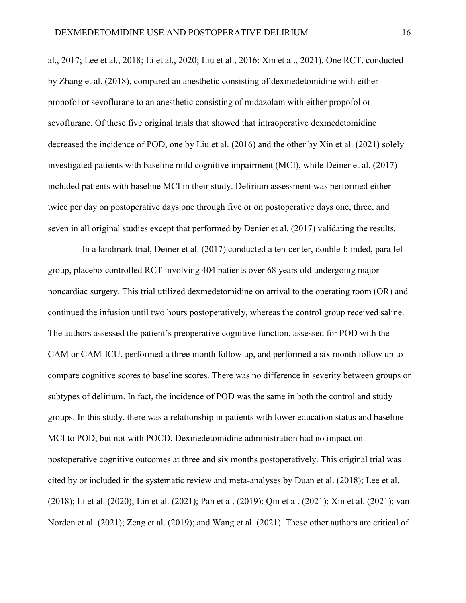al., 2017; Lee et al., 2018; Li et al., 2020; Liu et al., 2016; Xin et al., 2021). One RCT, conducted by Zhang et al. (2018), compared an anesthetic consisting of dexmedetomidine with either propofol or sevoflurane to an anesthetic consisting of midazolam with either propofol or sevoflurane. Of these five original trials that showed that intraoperative dexmedetomidine decreased the incidence of POD, one by Liu et al. (2016) and the other by Xin et al. (2021) solely investigated patients with baseline mild cognitive impairment (MCI), while Deiner et al. (2017) included patients with baseline MCI in their study. Delirium assessment was performed either twice per day on postoperative days one through five or on postoperative days one, three, and seven in all original studies except that performed by Denier et al. (2017) validating the results.

In a landmark trial, Deiner et al. (2017) conducted a ten-center, double-blinded, parallelgroup, placebo-controlled RCT involving 404 patients over 68 years old undergoing major noncardiac surgery. This trial utilized dexmedetomidine on arrival to the operating room (OR) and continued the infusion until two hours postoperatively, whereas the control group received saline. The authors assessed the patient's preoperative cognitive function, assessed for POD with the CAM or CAM-ICU, performed a three month follow up, and performed a six month follow up to compare cognitive scores to baseline scores. There was no difference in severity between groups or subtypes of delirium. In fact, the incidence of POD was the same in both the control and study groups. In this study, there was a relationship in patients with lower education status and baseline MCI to POD, but not with POCD. Dexmedetomidine administration had no impact on postoperative cognitive outcomes at three and six months postoperatively. This original trial was cited by or included in the systematic review and meta-analyses by Duan et al. (2018); Lee et al. (2018); Li et al. (2020); Lin et al. (2021); Pan et al. (2019); Qin et al. (2021); Xin et al. (2021); van Norden et al. (2021); Zeng et al. (2019); and Wang et al. (2021). These other authors are critical of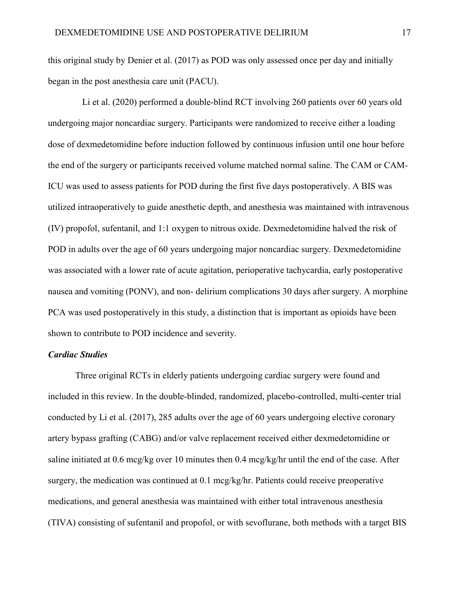this original study by Denier et al. (2017) as POD was only assessed once per day and initially began in the post anesthesia care unit (PACU).

Li et al. (2020) performed a double-blind RCT involving 260 patients over 60 years old undergoing major noncardiac surgery. Participants were randomized to receive either a loading dose of dexmedetomidine before induction followed by continuous infusion until one hour before the end of the surgery or participants received volume matched normal saline. The CAM or CAM-ICU was used to assess patients for POD during the first five days postoperatively. A BIS was utilized intraoperatively to guide anesthetic depth, and anesthesia was maintained with intravenous (IV) propofol, sufentanil, and 1:1 oxygen to nitrous oxide. Dexmedetomidine halved the risk of POD in adults over the age of 60 years undergoing major noncardiac surgery. Dexmedetomidine was associated with a lower rate of acute agitation, perioperative tachycardia, early postoperative nausea and vomiting (PONV), and non- delirium complications 30 days after surgery. A morphine PCA was used postoperatively in this study, a distinction that is important as opioids have been shown to contribute to POD incidence and severity.

### *Cardiac Studies*

Three original RCTs in elderly patients undergoing cardiac surgery were found and included in this review. In the double-blinded, randomized, placebo-controlled, multi-center trial conducted by Li et al. (2017), 285 adults over the age of 60 years undergoing elective coronary artery bypass grafting (CABG) and/or valve replacement received either dexmedetomidine or saline initiated at 0.6 mcg/kg over 10 minutes then 0.4 mcg/kg/hr until the end of the case. After surgery, the medication was continued at 0.1 mcg/kg/hr. Patients could receive preoperative medications, and general anesthesia was maintained with either total intravenous anesthesia (TIVA) consisting of sufentanil and propofol, or with sevoflurane, both methods with a target BIS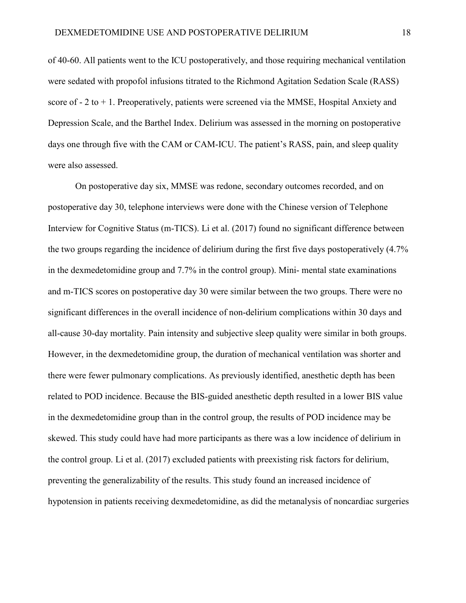of 40-60. All patients went to the ICU postoperatively, and those requiring mechanical ventilation were sedated with propofol infusions titrated to the Richmond Agitation Sedation Scale (RASS) score of  $-2$  to  $+1$ . Preoperatively, patients were screened via the MMSE, Hospital Anxiety and Depression Scale, and the Barthel Index. Delirium was assessed in the morning on postoperative days one through five with the CAM or CAM-ICU. The patient's RASS, pain, and sleep quality were also assessed.

On postoperative day six, MMSE was redone, secondary outcomes recorded, and on postoperative day 30, telephone interviews were done with the Chinese version of Telephone Interview for Cognitive Status (m-TICS). Li et al. (2017) found no significant difference between the two groups regarding the incidence of delirium during the first five days postoperatively (4.7% in the dexmedetomidine group and 7.7% in the control group). Mini- mental state examinations and m-TICS scores on postoperative day 30 were similar between the two groups. There were no significant differences in the overall incidence of non-delirium complications within 30 days and all-cause 30-day mortality. Pain intensity and subjective sleep quality were similar in both groups. However, in the dexmedetomidine group, the duration of mechanical ventilation was shorter and there were fewer pulmonary complications. As previously identified, anesthetic depth has been related to POD incidence. Because the BIS-guided anesthetic depth resulted in a lower BIS value in the dexmedetomidine group than in the control group, the results of POD incidence may be skewed. This study could have had more participants as there was a low incidence of delirium in the control group. Li et al. (2017) excluded patients with preexisting risk factors for delirium, preventing the generalizability of the results. This study found an increased incidence of hypotension in patients receiving dexmedetomidine, as did the metanalysis of noncardiac surgeries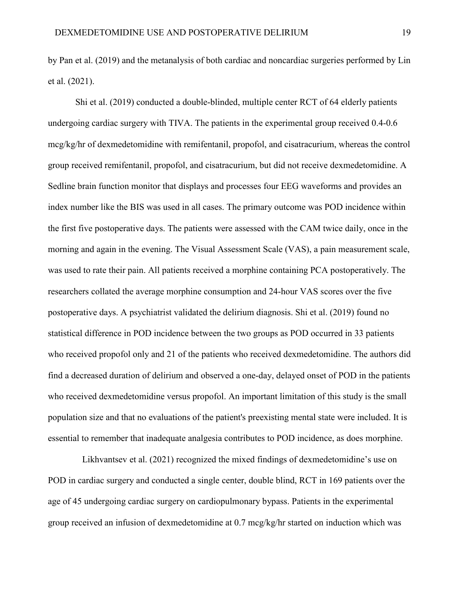by Pan et al. (2019) and the metanalysis of both cardiac and noncardiac surgeries performed by Lin et al. (2021).

Shi et al. (2019) conducted a double-blinded, multiple center RCT of 64 elderly patients undergoing cardiac surgery with TIVA. The patients in the experimental group received 0.4-0.6 mcg/kg/hr of dexmedetomidine with remifentanil, propofol, and cisatracurium, whereas the control group received remifentanil, propofol, and cisatracurium, but did not receive dexmedetomidine. A Sedline brain function monitor that displays and processes four EEG waveforms and provides an index number like the BIS was used in all cases. The primary outcome was POD incidence within the first five postoperative days. The patients were assessed with the CAM twice daily, once in the morning and again in the evening. The Visual Assessment Scale (VAS), a pain measurement scale, was used to rate their pain. All patients received a morphine containing PCA postoperatively. The researchers collated the average morphine consumption and 24-hour VAS scores over the five postoperative days. A psychiatrist validated the delirium diagnosis. Shi et al. (2019) found no statistical difference in POD incidence between the two groups as POD occurred in 33 patients who received propofol only and 21 of the patients who received dexmedetomidine. The authors did find a decreased duration of delirium and observed a one-day, delayed onset of POD in the patients who received dexmedetomidine versus propofol. An important limitation of this study is the small population size and that no evaluations of the patient's preexisting mental state were included. It is essential to remember that inadequate analgesia contributes to POD incidence, as does morphine.

Likhvantsev et al. (2021) recognized the mixed findings of dexmedetomidine's use on POD in cardiac surgery and conducted a single center, double blind, RCT in 169 patients over the age of 45 undergoing cardiac surgery on cardiopulmonary bypass. Patients in the experimental group received an infusion of dexmedetomidine at 0.7 mcg/kg/hr started on induction which was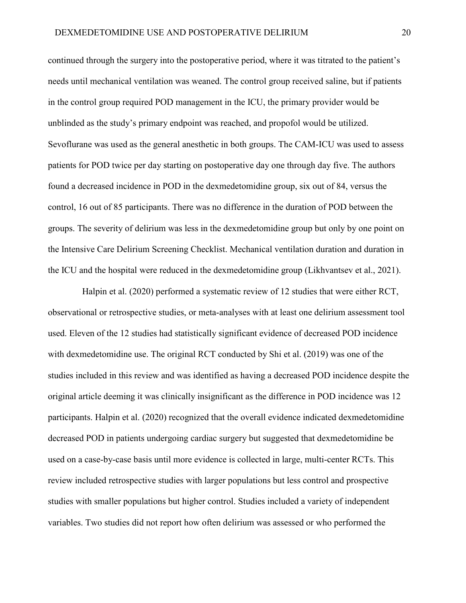continued through the surgery into the postoperative period, where it was titrated to the patient's needs until mechanical ventilation was weaned. The control group received saline, but if patients in the control group required POD management in the ICU, the primary provider would be unblinded as the study's primary endpoint was reached, and propofol would be utilized. Sevoflurane was used as the general anesthetic in both groups. The CAM-ICU was used to assess patients for POD twice per day starting on postoperative day one through day five. The authors found a decreased incidence in POD in the dexmedetomidine group, six out of 84, versus the control, 16 out of 85 participants. There was no difference in the duration of POD between the groups. The severity of delirium was less in the dexmedetomidine group but only by one point on the Intensive Care Delirium Screening Checklist. Mechanical ventilation duration and duration in the ICU and the hospital were reduced in the dexmedetomidine group (Likhvantsev et al., 2021).

Halpin et al. (2020) performed a systematic review of 12 studies that were either RCT, observational or retrospective studies, or meta-analyses with at least one delirium assessment tool used. Eleven of the 12 studies had statistically significant evidence of decreased POD incidence with dexmedetomidine use. The original RCT conducted by Shi et al. (2019) was one of the studies included in this review and was identified as having a decreased POD incidence despite the original article deeming it was clinically insignificant as the difference in POD incidence was 12 participants. Halpin et al. (2020) recognized that the overall evidence indicated dexmedetomidine decreased POD in patients undergoing cardiac surgery but suggested that dexmedetomidine be used on a case-by-case basis until more evidence is collected in large, multi-center RCTs. This review included retrospective studies with larger populations but less control and prospective studies with smaller populations but higher control. Studies included a variety of independent variables. Two studies did not report how often delirium was assessed or who performed the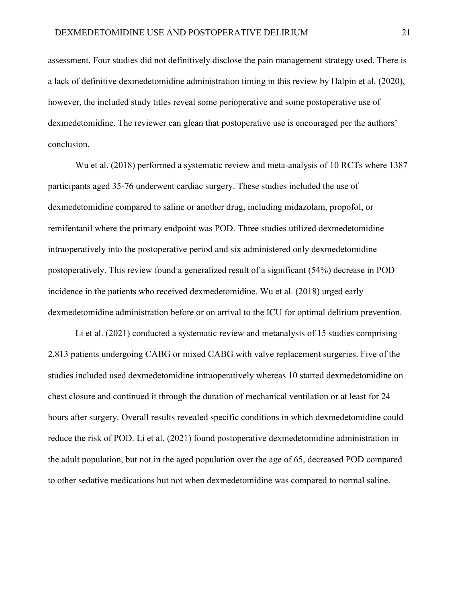assessment. Four studies did not definitively disclose the pain management strategy used. There is a lack of definitive dexmedetomidine administration timing in this review by Halpin et al. (2020), however, the included study titles reveal some perioperative and some postoperative use of dexmedetomidine. The reviewer can glean that postoperative use is encouraged per the authors' conclusion.

Wu et al. (2018) performed a systematic review and meta-analysis of 10 RCTs where 1387 participants aged 35-76 underwent cardiac surgery. These studies included the use of dexmedetomidine compared to saline or another drug, including midazolam, propofol, or remifentanil where the primary endpoint was POD. Three studies utilized dexmedetomidine intraoperatively into the postoperative period and six administered only dexmedetomidine postoperatively. This review found a generalized result of a significant (54%) decrease in POD incidence in the patients who received dexmedetomidine. Wu et al. (2018) urged early dexmedetomidine administration before or on arrival to the ICU for optimal delirium prevention.

Li et al. (2021) conducted a systematic review and metanalysis of 15 studies comprising 2,813 patients undergoing CABG or mixed CABG with valve replacement surgeries. Five of the studies included used dexmedetomidine intraoperatively whereas 10 started dexmedetomidine on chest closure and continued it through the duration of mechanical ventilation or at least for 24 hours after surgery. Overall results revealed specific conditions in which dexmedetomidine could reduce the risk of POD. Li et al. (2021) found postoperative dexmedetomidine administration in the adult population, but not in the aged population over the age of 65, decreased POD compared to other sedative medications but not when dexmedetomidine was compared to normal saline.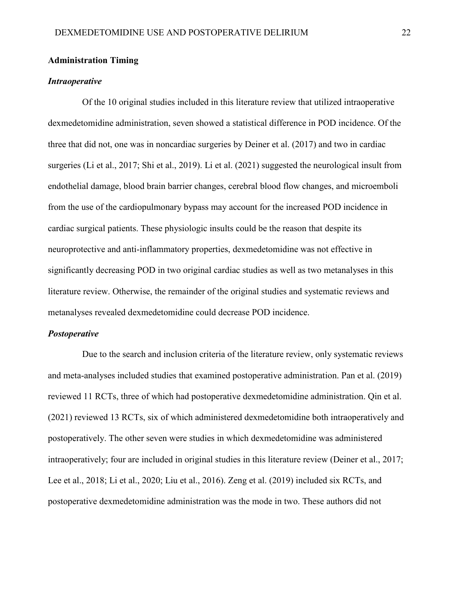#### **Administration Timing**

#### *Intraoperative*

Of the 10 original studies included in this literature review that utilized intraoperative dexmedetomidine administration, seven showed a statistical difference in POD incidence. Of the three that did not, one was in noncardiac surgeries by Deiner et al. (2017) and two in cardiac surgeries (Li et al., 2017; Shi et al., 2019). Li et al. (2021) suggested the neurological insult from endothelial damage, blood brain barrier changes, cerebral blood flow changes, and microemboli from the use of the cardiopulmonary bypass may account for the increased POD incidence in cardiac surgical patients. These physiologic insults could be the reason that despite its neuroprotective and anti-inflammatory properties, dexmedetomidine was not effective in significantly decreasing POD in two original cardiac studies as well as two metanalyses in this literature review. Otherwise, the remainder of the original studies and systematic reviews and metanalyses revealed dexmedetomidine could decrease POD incidence.

#### *Postoperative*

Due to the search and inclusion criteria of the literature review, only systematic reviews and meta-analyses included studies that examined postoperative administration. Pan et al. (2019) reviewed 11 RCTs, three of which had postoperative dexmedetomidine administration. Qin et al. (2021) reviewed 13 RCTs, six of which administered dexmedetomidine both intraoperatively and postoperatively. The other seven were studies in which dexmedetomidine was administered intraoperatively; four are included in original studies in this literature review (Deiner et al., 2017; Lee et al., 2018; Li et al., 2020; Liu et al., 2016). Zeng et al. (2019) included six RCTs, and postoperative dexmedetomidine administration was the mode in two. These authors did not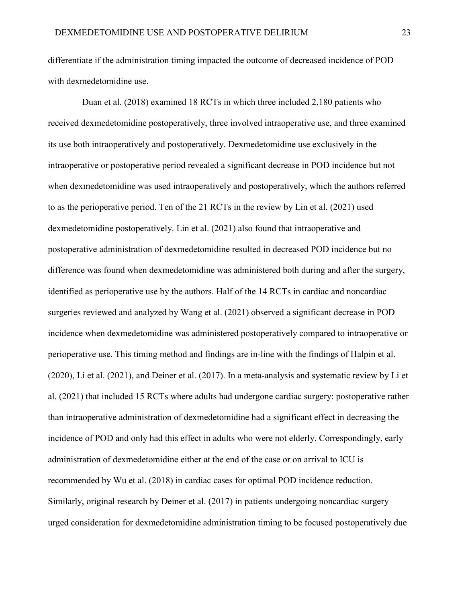differentiate if the administration timing impacted the outcome of decreased incidence of POD with dexmedetomidine use.

Duan et al. (2018) examined 18 RCTs in which three included 2,180 patients who received dexmedetomidine postoperatively, three involved intraoperative use, and three examined its use both intraoperatively and postoperatively. Dexmedetomidine use exclusively in the intraoperative or postoperative period revealed a significant decrease in POD incidence but not when dexmedetomidine was used intraoperatively and postoperatively, which the authors referred to as the perioperative period. Ten of the 21 RCTs in the review by Lin et al. (2021) used dexmedetomidine postoperatively. Lin et al. (2021) also found that intraoperative and postoperative administration of dexmedetomidine resulted in decreased POD incidence but no difference was found when dexmedetomidine was administered both during and after the surgery, identified as perioperative use by the authors. Half of the 14 RCTs in cardiac and noncardiac surgeries reviewed and analyzed by Wang et al. (2021) observed a significant decrease in POD incidence when dexmedetomidine was administered postoperatively compared to intraoperative or perioperative use. This timing method and findings are in-line with the findings of Halpin et al. (2020), Li et al. (2021), and Deiner et al. (2017). In a meta-analysis and systematic review by Li et al. (2021) that included 15 RCTs where adults had undergone cardiac surgery: postoperative rather than intraoperative administration of dexmedetomidine had a significant effect in decreasing the incidence of POD and only had this effect in adults who were not elderly. Correspondingly, early administration of dexmedetomidine either at the end of the case or on arrival to ICU is recommended by Wu et al. (2018) in cardiac cases for optimal POD incidence reduction. Similarly, original research by Deiner et al. (2017) in patients undergoing noncardiac surgery urged consideration for dexmedetomidine administration timing to be focused postoperatively due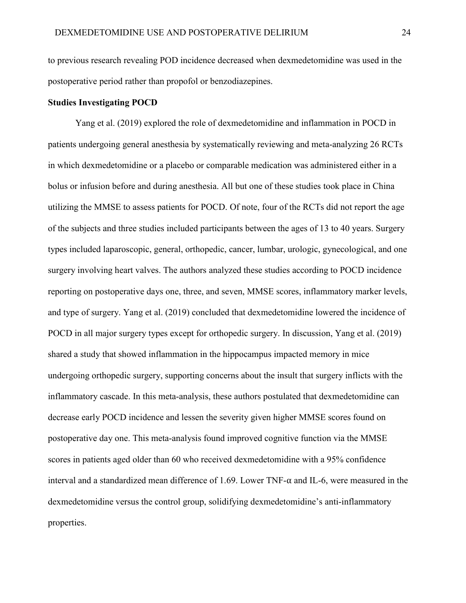to previous research revealing POD incidence decreased when dexmedetomidine was used in the postoperative period rather than propofol or benzodiazepines.

#### **Studies Investigating POCD**

Yang et al. (2019) explored the role of dexmedetomidine and inflammation in POCD in patients undergoing general anesthesia by systematically reviewing and meta-analyzing 26 RCTs in which dexmedetomidine or a placebo or comparable medication was administered either in a bolus or infusion before and during anesthesia. All but one of these studies took place in China utilizing the MMSE to assess patients for POCD. Of note, four of the RCTs did not report the age of the subjects and three studies included participants between the ages of 13 to 40 years. Surgery types included laparoscopic, general, orthopedic, cancer, lumbar, urologic, gynecological, and one surgery involving heart valves. The authors analyzed these studies according to POCD incidence reporting on postoperative days one, three, and seven, MMSE scores, inflammatory marker levels, and type of surgery. Yang et al. (2019) concluded that dexmedetomidine lowered the incidence of POCD in all major surgery types except for orthopedic surgery. In discussion, Yang et al. (2019) shared a study that showed inflammation in the hippocampus impacted memory in mice undergoing orthopedic surgery, supporting concerns about the insult that surgery inflicts with the inflammatory cascade. In this meta-analysis, these authors postulated that dexmedetomidine can decrease early POCD incidence and lessen the severity given higher MMSE scores found on postoperative day one. This meta-analysis found improved cognitive function via the MMSE scores in patients aged older than 60 who received dexmedetomidine with a 95% confidence interval and a standardized mean difference of 1.69. Lower TNF- $\alpha$  and IL-6, were measured in the dexmedetomidine versus the control group, solidifying dexmedetomidine's anti-inflammatory properties.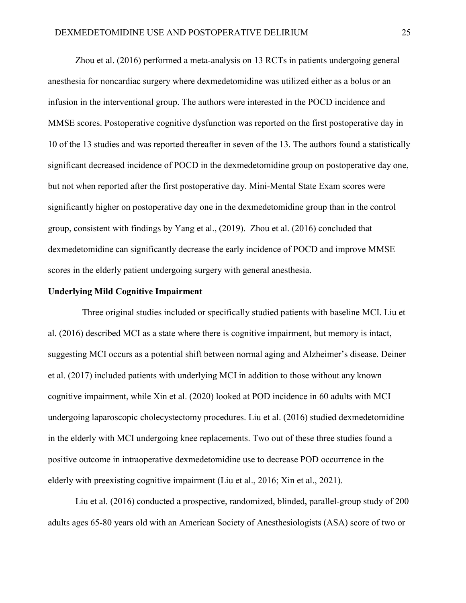Zhou et al. (2016) performed a meta-analysis on 13 RCTs in patients undergoing general anesthesia for noncardiac surgery where dexmedetomidine was utilized either as a bolus or an infusion in the interventional group. The authors were interested in the POCD incidence and MMSE scores. Postoperative cognitive dysfunction was reported on the first postoperative day in 10 of the 13 studies and was reported thereafter in seven of the 13. The authors found a statistically significant decreased incidence of POCD in the dexmedetomidine group on postoperative day one, but not when reported after the first postoperative day. Mini-Mental State Exam scores were significantly higher on postoperative day one in the dexmedetomidine group than in the control group, consistent with findings by Yang et al., (2019). Zhou et al. (2016) concluded that dexmedetomidine can significantly decrease the early incidence of POCD and improve MMSE scores in the elderly patient undergoing surgery with general anesthesia.

#### **Underlying Mild Cognitive Impairment**

Three original studies included or specifically studied patients with baseline MCI. Liu et al. (2016) described MCI as a state where there is cognitive impairment, but memory is intact, suggesting MCI occurs as a potential shift between normal aging and Alzheimer's disease. Deiner et al. (2017) included patients with underlying MCI in addition to those without any known cognitive impairment, while Xin et al. (2020) looked at POD incidence in 60 adults with MCI undergoing laparoscopic cholecystectomy procedures. Liu et al. (2016) studied dexmedetomidine in the elderly with MCI undergoing knee replacements. Two out of these three studies found a positive outcome in intraoperative dexmedetomidine use to decrease POD occurrence in the elderly with preexisting cognitive impairment (Liu et al., 2016; Xin et al., 2021).

Liu et al. (2016) conducted a prospective, randomized, blinded, parallel-group study of 200 adults ages 65-80 years old with an American Society of Anesthesiologists (ASA) score of two or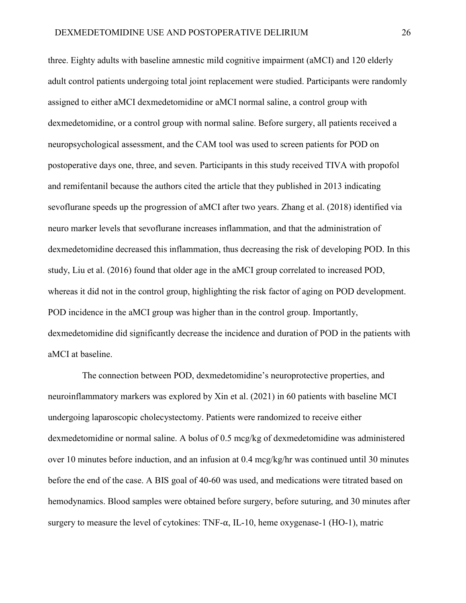three. Eighty adults with baseline amnestic mild cognitive impairment (aMCI) and 120 elderly adult control patients undergoing total joint replacement were studied. Participants were randomly assigned to either aMCI dexmedetomidine or aMCI normal saline, a control group with dexmedetomidine, or a control group with normal saline. Before surgery, all patients received a neuropsychological assessment, and the CAM tool was used to screen patients for POD on postoperative days one, three, and seven. Participants in this study received TIVA with propofol and remifentanil because the authors cited the article that they published in 2013 indicating sevoflurane speeds up the progression of aMCI after two years. Zhang et al. (2018) identified via neuro marker levels that sevoflurane increases inflammation, and that the administration of dexmedetomidine decreased this inflammation, thus decreasing the risk of developing POD. In this study, Liu et al. (2016) found that older age in the aMCI group correlated to increased POD, whereas it did not in the control group, highlighting the risk factor of aging on POD development. POD incidence in the aMCI group was higher than in the control group. Importantly, dexmedetomidine did significantly decrease the incidence and duration of POD in the patients with aMCI at baseline.

The connection between POD, dexmedetomidine's neuroprotective properties, and neuroinflammatory markers was explored by Xin et al. (2021) in 60 patients with baseline MCI undergoing laparoscopic cholecystectomy. Patients were randomized to receive either dexmedetomidine or normal saline. A bolus of 0.5 mcg/kg of dexmedetomidine was administered over 10 minutes before induction, and an infusion at 0.4 mcg/kg/hr was continued until 30 minutes before the end of the case. A BIS goal of 40-60 was used, and medications were titrated based on hemodynamics. Blood samples were obtained before surgery, before suturing, and 30 minutes after surgery to measure the level of cytokines:  $TNF-\alpha$ , IL-10, heme oxygenase-1 (HO-1), matric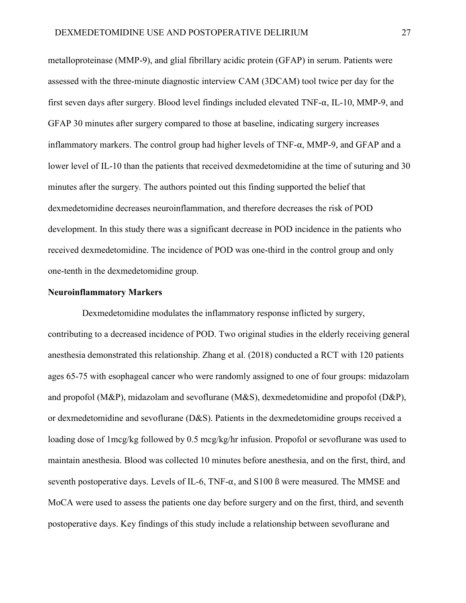metalloproteinase (MMP-9), and glial fibrillary acidic protein (GFAP) in serum. Patients were assessed with the three-minute diagnostic interview CAM (3DCAM) tool twice per day for the first seven days after surgery. Blood level findings included elevated  $TNF-\alpha$ , IL-10, MMP-9, and GFAP 30 minutes after surgery compared to those at baseline, indicating surgery increases inflammatory markers. The control group had higher levels of  $TNF-\alpha$ ,  $MMP-9$ , and GFAP and a lower level of IL-10 than the patients that received dexmedetomidine at the time of suturing and 30 minutes after the surgery. The authors pointed out this finding supported the belief that dexmedetomidine decreases neuroinflammation, and therefore decreases the risk of POD development. In this study there was a significant decrease in POD incidence in the patients who received dexmedetomidine. The incidence of POD was one-third in the control group and only one-tenth in the dexmedetomidine group.

#### **Neuroinflammatory Markers**

Dexmedetomidine modulates the inflammatory response inflicted by surgery, contributing to a decreased incidence of POD. Two original studies in the elderly receiving general anesthesia demonstrated this relationship. Zhang et al. (2018) conducted a RCT with 120 patients ages 65-75 with esophageal cancer who were randomly assigned to one of four groups: midazolam and propofol (M&P), midazolam and sevoflurane (M&S), dexmedetomidine and propofol (D&P), or dexmedetomidine and sevoflurane (D&S). Patients in the dexmedetomidine groups received a loading dose of 1mcg/kg followed by 0.5 mcg/kg/hr infusion. Propofol or sevoflurane was used to maintain anesthesia. Blood was collected 10 minutes before anesthesia, and on the first, third, and seventh postoperative days. Levels of IL-6, TNF- $\alpha$ , and S100 ß were measured. The MMSE and MoCA were used to assess the patients one day before surgery and on the first, third, and seventh postoperative days. Key findings of this study include a relationship between sevoflurane and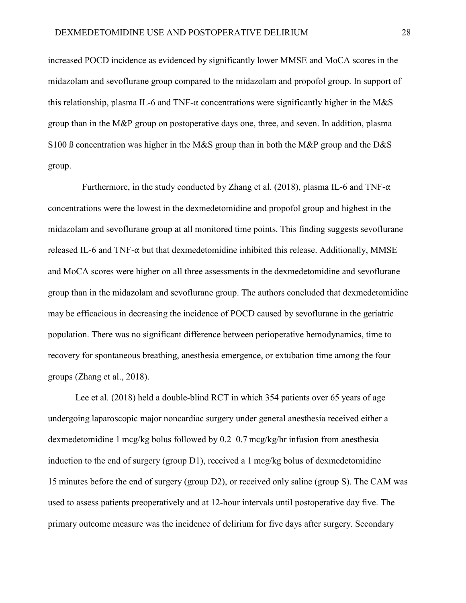increased POCD incidence as evidenced by significantly lower MMSE and MoCA scores in the midazolam and sevoflurane group compared to the midazolam and propofol group. In support of this relationship, plasma IL-6 and TNF- $\alpha$  concentrations were significantly higher in the M&S group than in the M&P group on postoperative days one, three, and seven. In addition, plasma S100 ß concentration was higher in the M&S group than in both the M&P group and the D&S group.

Furthermore, in the study conducted by Zhang et al. (2018), plasma IL-6 and TNF- $\alpha$ concentrations were the lowest in the dexmedetomidine and propofol group and highest in the midazolam and sevoflurane group at all monitored time points. This finding suggests sevoflurane released IL-6 and TNF- $\alpha$  but that dexmedetomidine inhibited this release. Additionally, MMSE and MoCA scores were higher on all three assessments in the dexmedetomidine and sevoflurane group than in the midazolam and sevoflurane group. The authors concluded that dexmedetomidine may be efficacious in decreasing the incidence of POCD caused by sevoflurane in the geriatric population. There was no significant difference between perioperative hemodynamics, time to recovery for spontaneous breathing, anesthesia emergence, or extubation time among the four groups (Zhang et al., 2018).

Lee et al. (2018) held a double-blind RCT in which 354 patients over 65 years of age undergoing laparoscopic major noncardiac surgery under general anesthesia received either a dexmedetomidine 1 mcg/kg bolus followed by 0.2–0.7 mcg/kg/hr infusion from anesthesia induction to the end of surgery (group D1), received a 1 mcg/kg bolus of dexmedetomidine 15 minutes before the end of surgery (group D2), or received only saline (group S). The CAM was used to assess patients preoperatively and at 12-hour intervals until postoperative day five. The primary outcome measure was the incidence of delirium for five days after surgery. Secondary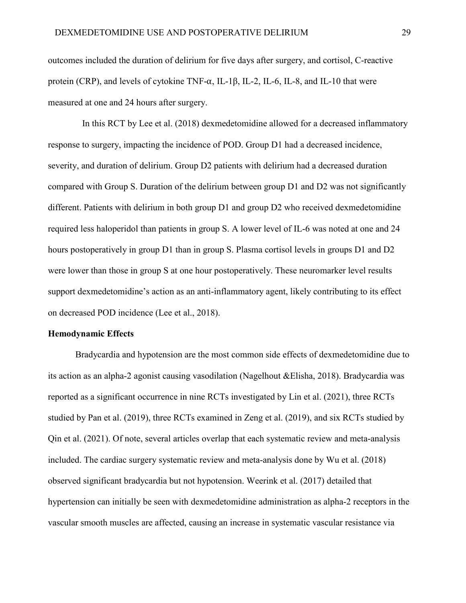outcomes included the duration of delirium for five days after surgery, and cortisol, C-reactive protein (CRP), and levels of cytokine TNF- $\alpha$ , IL-1 $\beta$ , IL-2, IL-6, IL-8, and IL-10 that were measured at one and 24 hours after surgery.

In this RCT by Lee et al. (2018) dexmedetomidine allowed for a decreased inflammatory response to surgery, impacting the incidence of POD. Group D1 had a decreased incidence, severity, and duration of delirium. Group D2 patients with delirium had a decreased duration compared with Group S. Duration of the delirium between group D1 and D2 was not significantly different. Patients with delirium in both group D1 and group D2 who received dexmedetomidine required less haloperidol than patients in group S. A lower level of IL-6 was noted at one and 24 hours postoperatively in group D1 than in group S. Plasma cortisol levels in groups D1 and D2 were lower than those in group S at one hour postoperatively. These neuromarker level results support dexmedetomidine's action as an anti-inflammatory agent, likely contributing to its effect on decreased POD incidence (Lee et al., 2018).

#### **Hemodynamic Effects**

Bradycardia and hypotension are the most common side effects of dexmedetomidine due to its action as an alpha-2 agonist causing vasodilation (Nagelhout &Elisha, 2018). Bradycardia was reported as a significant occurrence in nine RCTs investigated by Lin et al. (2021), three RCTs studied by Pan et al. (2019), three RCTs examined in Zeng et al. (2019), and six RCTs studied by Qin et al. (2021). Of note, several articles overlap that each systematic review and meta-analysis included. The cardiac surgery systematic review and meta-analysis done by Wu et al. (2018) observed significant bradycardia but not hypotension. Weerink et al. (2017) detailed that hypertension can initially be seen with dexmedetomidine administration as alpha-2 receptors in the vascular smooth muscles are affected, causing an increase in systematic vascular resistance via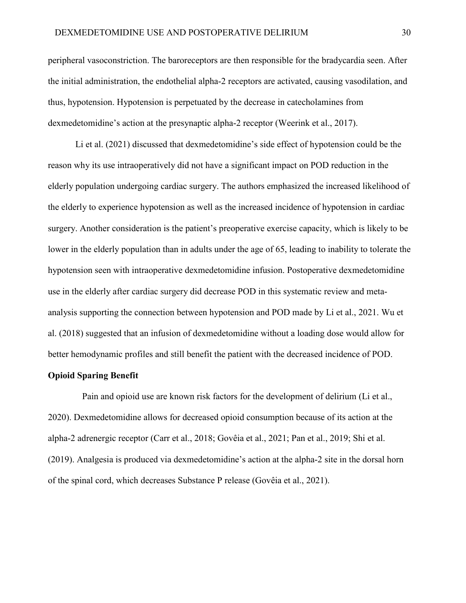peripheral vasoconstriction. The baroreceptors are then responsible for the bradycardia seen. After the initial administration, the endothelial alpha-2 receptors are activated, causing vasodilation, and thus, hypotension. Hypotension is perpetuated by the decrease in catecholamines from dexmedetomidine's action at the presynaptic alpha-2 receptor (Weerink et al., 2017).

Li et al. (2021) discussed that dexmedetomidine's side effect of hypotension could be the reason why its use intraoperatively did not have a significant impact on POD reduction in the elderly population undergoing cardiac surgery. The authors emphasized the increased likelihood of the elderly to experience hypotension as well as the increased incidence of hypotension in cardiac surgery. Another consideration is the patient's preoperative exercise capacity, which is likely to be lower in the elderly population than in adults under the age of 65, leading to inability to tolerate the hypotension seen with intraoperative dexmedetomidine infusion. Postoperative dexmedetomidine use in the elderly after cardiac surgery did decrease POD in this systematic review and metaanalysis supporting the connection between hypotension and POD made by Li et al., 2021. Wu et al. (2018) suggested that an infusion of dexmedetomidine without a loading dose would allow for better hemodynamic profiles and still benefit the patient with the decreased incidence of POD.

#### **Opioid Sparing Benefit**

Pain and opioid use are known risk factors for the development of delirium (Li et al., 2020). Dexmedetomidine allows for decreased opioid consumption because of its action at the alpha-2 adrenergic receptor (Carr et al., 2018; Govêia et al., 2021; Pan et al., 2019; Shi et al. (2019). Analgesia is produced via dexmedetomidine's action at the alpha-2 site in the dorsal horn of the spinal cord, which decreases Substance P release (Govêia et al., 2021).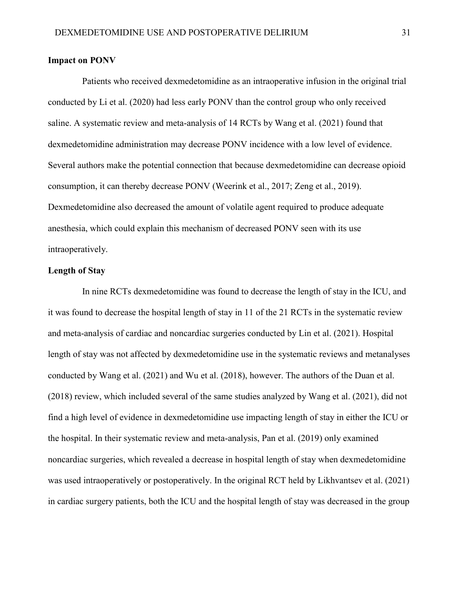#### **Impact on PONV**

Patients who received dexmedetomidine as an intraoperative infusion in the original trial conducted by Li et al. (2020) had less early PONV than the control group who only received saline. A systematic review and meta-analysis of 14 RCTs by Wang et al. (2021) found that dexmedetomidine administration may decrease PONV incidence with a low level of evidence. Several authors make the potential connection that because dexmedetomidine can decrease opioid consumption, it can thereby decrease PONV (Weerink et al., 2017; Zeng et al., 2019). Dexmedetomidine also decreased the amount of volatile agent required to produce adequate anesthesia, which could explain this mechanism of decreased PONV seen with its use intraoperatively.

### **Length of Stay**

 In nine RCTs dexmedetomidine was found to decrease the length of stay in the ICU, and it was found to decrease the hospital length of stay in 11 of the 21 RCTs in the systematic review and meta-analysis of cardiac and noncardiac surgeries conducted by Lin et al. (2021). Hospital length of stay was not affected by dexmedetomidine use in the systematic reviews and metanalyses conducted by Wang et al. (2021) and Wu et al. (2018), however. The authors of the Duan et al. (2018) review, which included several of the same studies analyzed by Wang et al. (2021), did not find a high level of evidence in dexmedetomidine use impacting length of stay in either the ICU or the hospital. In their systematic review and meta-analysis, Pan et al. (2019) only examined noncardiac surgeries, which revealed a decrease in hospital length of stay when dexmedetomidine was used intraoperatively or postoperatively. In the original RCT held by Likhvantsev et al. (2021) in cardiac surgery patients, both the ICU and the hospital length of stay was decreased in the group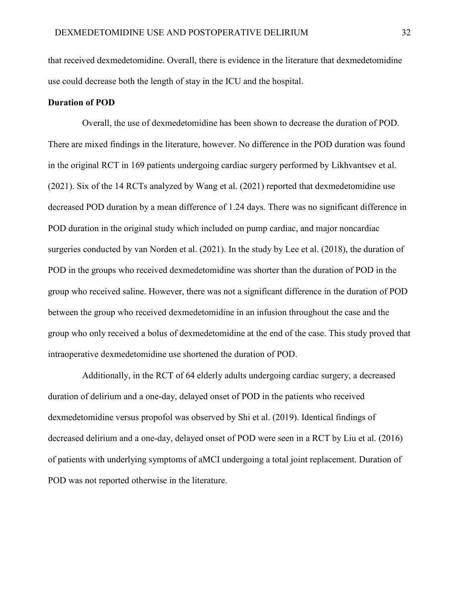that received dexmedetomidine. Overall, there is evidence in the literature that dexmedetomidine use could decrease both the length of stay in the ICU and the hospital.

### **Duration of POD**

Overall, the use of dexmedetomidine has been shown to decrease the duration of POD. There are mixed findings in the literature, however. No difference in the POD duration was found in the original RCT in 169 patients undergoing cardiac surgery performed by Likhvantsev et al. (2021). Six of the 14 RCTs analyzed by Wang et al. (2021) reported that dexmedetomidine use decreased POD duration by a mean difference of 1.24 days. There was no significant difference in POD duration in the original study which included on pump cardiac, and major noncardiac surgeries conducted by van Norden et al. (2021). In the study by Lee et al. (2018), the duration of POD in the groups who received dexmedetomidine was shorter than the duration of POD in the group who received saline. However, there was not a significant difference in the duration of POD between the group who received dexmedetomidine in an infusion throughout the case and the group who only received a bolus of dexmedetomidine at the end of the case. This study proved that intraoperative dexmedetomidine use shortened the duration of POD.

Additionally, in the RCT of 64 elderly adults undergoing cardiac surgery, a decreased duration of delirium and a one-day, delayed onset of POD in the patients who received dexmedetomidine versus propofol was observed by Shi et al. (2019). Identical findings of decreased delirium and a one-day, delayed onset of POD were seen in a RCT by Liu et al. (2016) of patients with underlying symptoms of aMCI undergoing a total joint replacement. Duration of POD was not reported otherwise in the literature.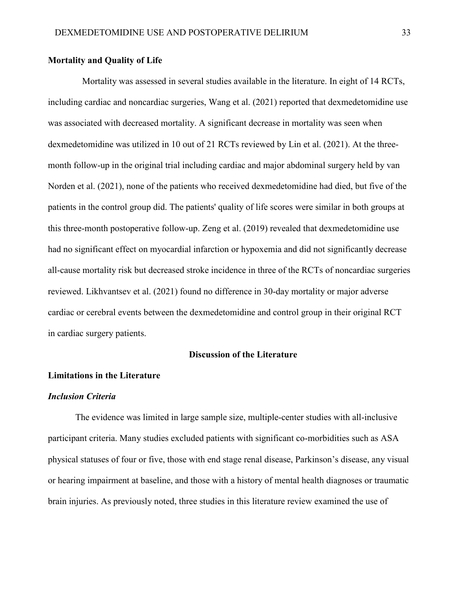## **Mortality and Quality of Life**

Mortality was assessed in several studies available in the literature. In eight of 14 RCTs, including cardiac and noncardiac surgeries, Wang et al. (2021) reported that dexmedetomidine use was associated with decreased mortality. A significant decrease in mortality was seen when dexmedetomidine was utilized in 10 out of 21 RCTs reviewed by Lin et al. (2021). At the threemonth follow-up in the original trial including cardiac and major abdominal surgery held by van Norden et al. (2021), none of the patients who received dexmedetomidine had died, but five of the patients in the control group did. The patients' quality of life scores were similar in both groups at this three-month postoperative follow-up. Zeng et al. (2019) revealed that dexmedetomidine use had no significant effect on myocardial infarction or hypoxemia and did not significantly decrease all-cause mortality risk but decreased stroke incidence in three of the RCTs of noncardiac surgeries reviewed. Likhvantsev et al. (2021) found no difference in 30-day mortality or major adverse cardiac or cerebral events between the dexmedetomidine and control group in their original RCT in cardiac surgery patients.

#### **Discussion of the Literature**

#### **Limitations in the Literature**

#### *Inclusion Criteria*

The evidence was limited in large sample size, multiple-center studies with all-inclusive participant criteria. Many studies excluded patients with significant co-morbidities such as ASA physical statuses of four or five, those with end stage renal disease, Parkinson's disease, any visual or hearing impairment at baseline, and those with a history of mental health diagnoses or traumatic brain injuries. As previously noted, three studies in this literature review examined the use of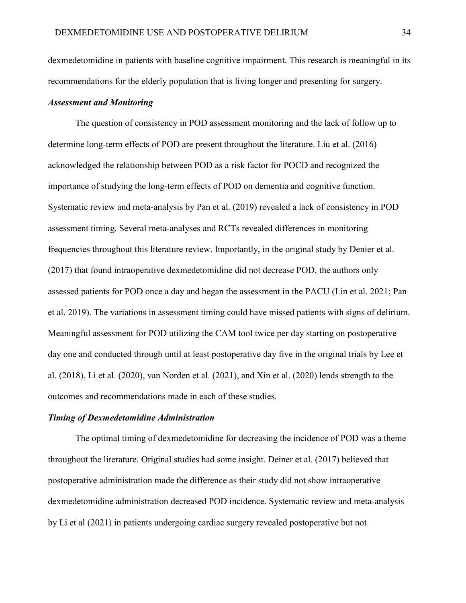dexmedetomidine in patients with baseline cognitive impairment. This research is meaningful in its recommendations for the elderly population that is living longer and presenting for surgery.

### *Assessment and Monitoring*

The question of consistency in POD assessment monitoring and the lack of follow up to determine long-term effects of POD are present throughout the literature. Liu et al. (2016) acknowledged the relationship between POD as a risk factor for POCD and recognized the importance of studying the long-term effects of POD on dementia and cognitive function. Systematic review and meta-analysis by Pan et al. (2019) revealed a lack of consistency in POD assessment timing. Several meta-analyses and RCTs revealed differences in monitoring frequencies throughout this literature review. Importantly, in the original study by Denier et al. (2017) that found intraoperative dexmedetomidine did not decrease POD, the authors only assessed patients for POD once a day and began the assessment in the PACU (Lin et al. 2021; Pan et al. 2019). The variations in assessment timing could have missed patients with signs of delirium. Meaningful assessment for POD utilizing the CAM tool twice per day starting on postoperative day one and conducted through until at least postoperative day five in the original trials by Lee et al. (2018), Li et al. (2020), van Norden et al. (2021), and Xin et al. (2020) lends strength to the outcomes and recommendations made in each of these studies.

#### *Timing of Dexmedetomidine Administration*

The optimal timing of dexmedetomidine for decreasing the incidence of POD was a theme throughout the literature. Original studies had some insight. Deiner et al. (2017) believed that postoperative administration made the difference as their study did not show intraoperative dexmedetomidine administration decreased POD incidence. Systematic review and meta-analysis by Li et al (2021) in patients undergoing cardiac surgery revealed postoperative but not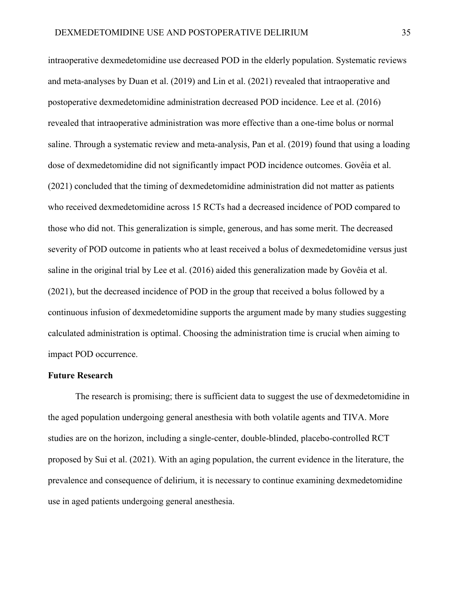intraoperative dexmedetomidine use decreased POD in the elderly population. Systematic reviews and meta-analyses by Duan et al. (2019) and Lin et al. (2021) revealed that intraoperative and postoperative dexmedetomidine administration decreased POD incidence. Lee et al. (2016) revealed that intraoperative administration was more effective than a one-time bolus or normal saline. Through a systematic review and meta-analysis, Pan et al. (2019) found that using a loading dose of dexmedetomidine did not significantly impact POD incidence outcomes. Govêia et al. (2021) concluded that the timing of dexmedetomidine administration did not matter as patients who received dexmedetomidine across 15 RCTs had a decreased incidence of POD compared to those who did not. This generalization is simple, generous, and has some merit. The decreased severity of POD outcome in patients who at least received a bolus of dexmedetomidine versus just saline in the original trial by Lee et al. (2016) aided this generalization made by Govêia et al. (2021), but the decreased incidence of POD in the group that received a bolus followed by a continuous infusion of dexmedetomidine supports the argument made by many studies suggesting calculated administration is optimal. Choosing the administration time is crucial when aiming to impact POD occurrence.

### **Future Research**

The research is promising; there is sufficient data to suggest the use of dexmedetomidine in the aged population undergoing general anesthesia with both volatile agents and TIVA. More studies are on the horizon, including a single-center, double-blinded, placebo-controlled RCT proposed by Sui et al. (2021). With an aging population, the current evidence in the literature, the prevalence and consequence of delirium, it is necessary to continue examining dexmedetomidine use in aged patients undergoing general anesthesia.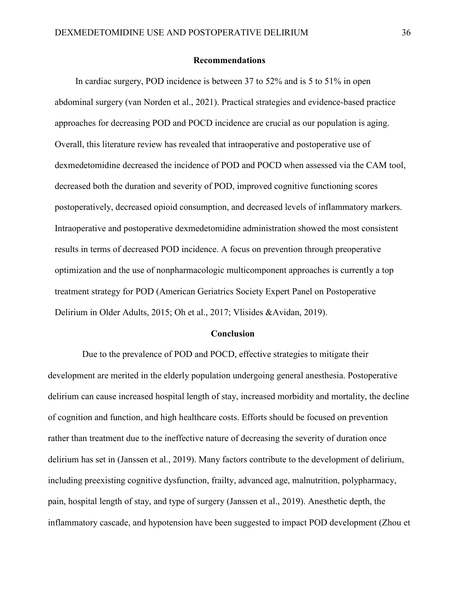#### **Recommendations**

In cardiac surgery, POD incidence is between 37 to 52% and is 5 to 51% in open abdominal surgery (van Norden et al., 2021). Practical strategies and evidence-based practice approaches for decreasing POD and POCD incidence are crucial as our population is aging. Overall, this literature review has revealed that intraoperative and postoperative use of dexmedetomidine decreased the incidence of POD and POCD when assessed via the CAM tool, decreased both the duration and severity of POD, improved cognitive functioning scores postoperatively, decreased opioid consumption, and decreased levels of inflammatory markers. Intraoperative and postoperative dexmedetomidine administration showed the most consistent results in terms of decreased POD incidence. A focus on prevention through preoperative optimization and the use of nonpharmacologic multicomponent approaches is currently a top treatment strategy for POD (American Geriatrics Society Expert Panel on Postoperative Delirium in Older Adults, 2015; Oh et al., 2017; Vlisides &Avidan, 2019).

#### **Conclusion**

Due to the prevalence of POD and POCD, effective strategies to mitigate their development are merited in the elderly population undergoing general anesthesia. Postoperative delirium can cause increased hospital length of stay, increased morbidity and mortality, the decline of cognition and function, and high healthcare costs. Efforts should be focused on prevention rather than treatment due to the ineffective nature of decreasing the severity of duration once delirium has set in (Janssen et al., 2019). Many factors contribute to the development of delirium, including preexisting cognitive dysfunction, frailty, advanced age, malnutrition, polypharmacy, pain, hospital length of stay, and type of surgery (Janssen et al., 2019). Anesthetic depth, the inflammatory cascade, and hypotension have been suggested to impact POD development (Zhou et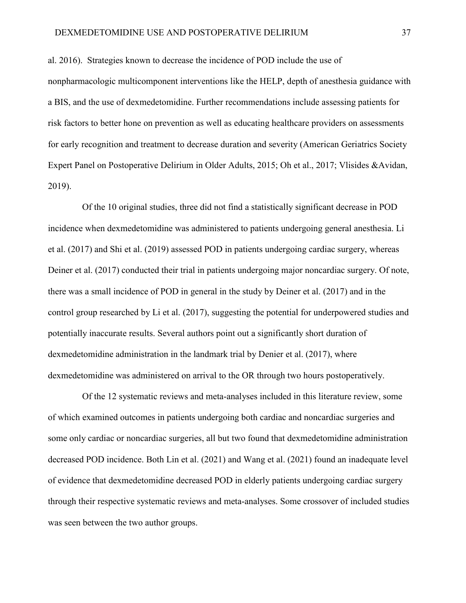al. 2016). Strategies known to decrease the incidence of POD include the use of nonpharmacologic multicomponent interventions like the HELP, depth of anesthesia guidance with a BIS, and the use of dexmedetomidine. Further recommendations include assessing patients for risk factors to better hone on prevention as well as educating healthcare providers on assessments for early recognition and treatment to decrease duration and severity (American Geriatrics Society Expert Panel on Postoperative Delirium in Older Adults, 2015; Oh et al., 2017; Vlisides &Avidan, 2019).

Of the 10 original studies, three did not find a statistically significant decrease in POD incidence when dexmedetomidine was administered to patients undergoing general anesthesia. Li et al. (2017) and Shi et al. (2019) assessed POD in patients undergoing cardiac surgery, whereas Deiner et al. (2017) conducted their trial in patients undergoing major noncardiac surgery. Of note, there was a small incidence of POD in general in the study by Deiner et al. (2017) and in the control group researched by Li et al. (2017), suggesting the potential for underpowered studies and potentially inaccurate results. Several authors point out a significantly short duration of dexmedetomidine administration in the landmark trial by Denier et al. (2017), where dexmedetomidine was administered on arrival to the OR through two hours postoperatively.

Of the 12 systematic reviews and meta-analyses included in this literature review, some of which examined outcomes in patients undergoing both cardiac and noncardiac surgeries and some only cardiac or noncardiac surgeries, all but two found that dexmedetomidine administration decreased POD incidence. Both Lin et al. (2021) and Wang et al. (2021) found an inadequate level of evidence that dexmedetomidine decreased POD in elderly patients undergoing cardiac surgery through their respective systematic reviews and meta-analyses. Some crossover of included studies was seen between the two author groups.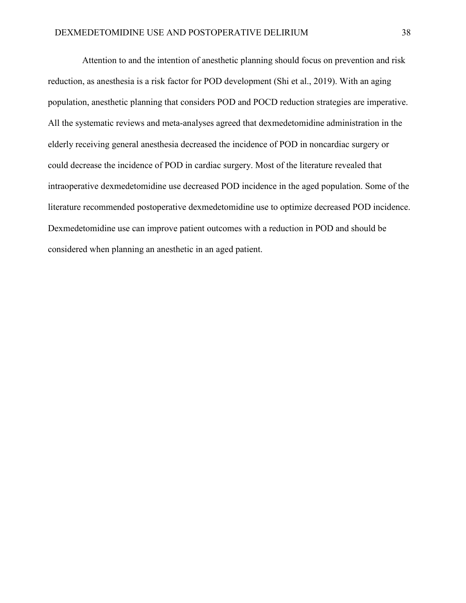Attention to and the intention of anesthetic planning should focus on prevention and risk reduction, as anesthesia is a risk factor for POD development (Shi et al., 2019). With an aging population, anesthetic planning that considers POD and POCD reduction strategies are imperative. All the systematic reviews and meta-analyses agreed that dexmedetomidine administration in the elderly receiving general anesthesia decreased the incidence of POD in noncardiac surgery or could decrease the incidence of POD in cardiac surgery. Most of the literature revealed that intraoperative dexmedetomidine use decreased POD incidence in the aged population. Some of the literature recommended postoperative dexmedetomidine use to optimize decreased POD incidence. Dexmedetomidine use can improve patient outcomes with a reduction in POD and should be considered when planning an anesthetic in an aged patient.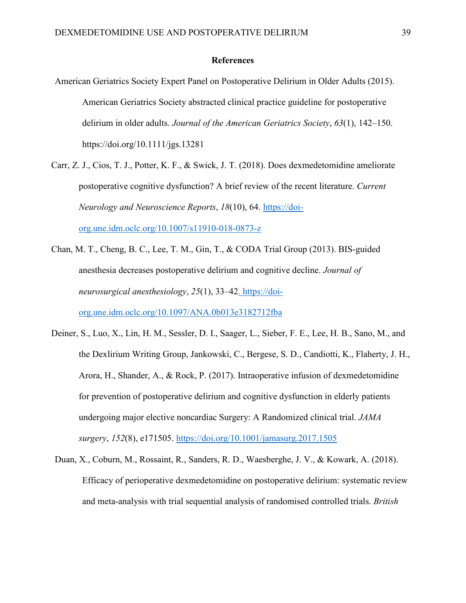#### **References**

- American Geriatrics Society Expert Panel on Postoperative Delirium in Older Adults (2015). American Geriatrics Society abstracted clinical practice guideline for postoperative delirium in older adults. *Journal of the American Geriatrics Society*, *63*(1), 142–150. https://doi.org/10.1111/jgs.13281
- Carr, Z. J., Cios, T. J., Potter, K. F., & Swick, J. T. (2018). Does dexmedetomidine ameliorate postoperative cognitive dysfunction? A brief review of the recent literature. *Current Neurology and Neuroscience Reports*, *18*(10), 64. [https://doi](https://doi-org.une.idm.oclc.org/10.1007/s11910-018-0873-z)[org.une.idm.oclc.org/10.1007/s11910-018-0873-z](https://doi-org.une.idm.oclc.org/10.1007/s11910-018-0873-z)
- Chan, M. T., Cheng, B. C., Lee, T. M., Gin, T., & CODA Trial Group (2013). BIS-guided anesthesia decreases postoperative delirium and cognitive decline. *Journal of neurosurgical anesthesiology*, *25*(1), 33–42. https://doiorg.une.idm.oclc.org/10.1097/ANA.0b013e3182712fba
- Deiner, S., Luo, X., Lin, H. M., Sessler, D. I., Saager, L., Sieber, F. E., Lee, H. B., Sano, M., and the Dexlirium Writing Group, Jankowski, C., Bergese, S. D., Candiotti, K., Flaherty, J. H., Arora, H., Shander, A., & Rock, P. (2017). Intraoperative infusion of dexmedetomidine for prevention of postoperative delirium and cognitive dysfunction in elderly patients undergoing major elective noncardiac Surgery: A Randomized clinical trial. *JAMA surgery*, *152*(8), e171505.<https://doi.org/10.1001/jamasurg.2017.1505>
- Duan, X., Coburn, M., Rossaint, R., Sanders, R. D., Waesberghe, J. V., & Kowark, A. (2018). Efficacy of perioperative dexmedetomidine on postoperative delirium: systematic review and meta-analysis with trial sequential analysis of randomised controlled trials. *British*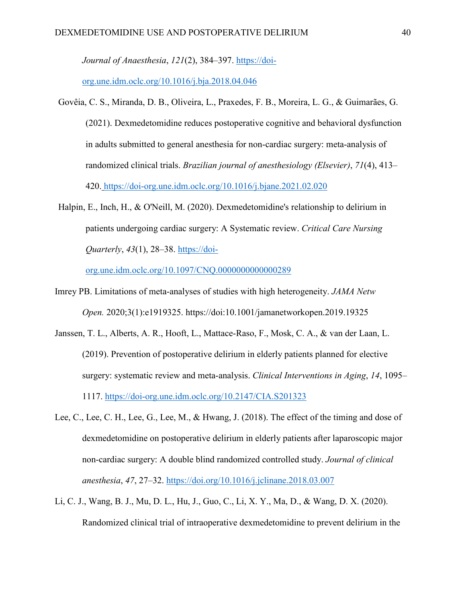*Journal of Anaesthesia*, *121*(2), 384–397. [https://doi-](https://doi-org.une.idm.oclc.org/10.1016/j.bja.2018.04.046)

[org.une.idm.oclc.org/10.1016/j.bja.2018.04.046](https://doi-org.une.idm.oclc.org/10.1016/j.bja.2018.04.046)

- Govêia, C. S., Miranda, D. B., Oliveira, L., Praxedes, F. B., Moreira, L. G., & Guimarães, G. (2021). Dexmedetomidine reduces postoperative cognitive and behavioral dysfunction in adults submitted to general anesthesia for non-cardiac surgery: meta-analysis of randomized clinical trials. *Brazilian journal of anesthesiology (Elsevier)*, *71*(4), 413– 420. https://doi-org.une.idm.oclc.org/10.1016/j.bjane.2021.02.020
- Halpin, E., Inch, H., & O'Neill, M. (2020). Dexmedetomidine's relationship to delirium in patients undergoing cardiac surgery: A Systematic review. *Critical Care Nursing Quarterly*, *43*(1), 28–38. [https://doi-](https://doi-org.une.idm.oclc.org/10.1097/CNQ.0000000000000289)

[org.une.idm.oclc.org/10.1097/CNQ.0000000000000289](https://doi-org.une.idm.oclc.org/10.1097/CNQ.0000000000000289)

- Imrey PB. Limitations of meta-analyses of studies with high heterogeneity. *JAMA Netw Open.* 2020;3(1):e1919325. https://doi:10.1001/jamanetworkopen.2019.19325
- Janssen, T. L., Alberts, A. R., Hooft, L., Mattace-Raso, F., Mosk, C. A., & van der Laan, L. (2019). Prevention of postoperative delirium in elderly patients planned for elective surgery: systematic review and meta-analysis. *Clinical Interventions in Aging*, *14*, 1095– 1117.<https://doi-org.une.idm.oclc.org/10.2147/CIA.S201323>
- Lee, C., Lee, C. H., Lee, G., Lee, M., & Hwang, J. (2018). The effect of the timing and dose of dexmedetomidine on postoperative delirium in elderly patients after laparoscopic major non-cardiac surgery: A double blind randomized controlled study. *Journal of clinical anesthesia*, *47*, 27–32.<https://doi.org/10.1016/j.jclinane.2018.03.007>
- Li, C. J., Wang, B. J., Mu, D. L., Hu, J., Guo, C., Li, X. Y., Ma, D., & Wang, D. X. (2020). Randomized clinical trial of intraoperative dexmedetomidine to prevent delirium in the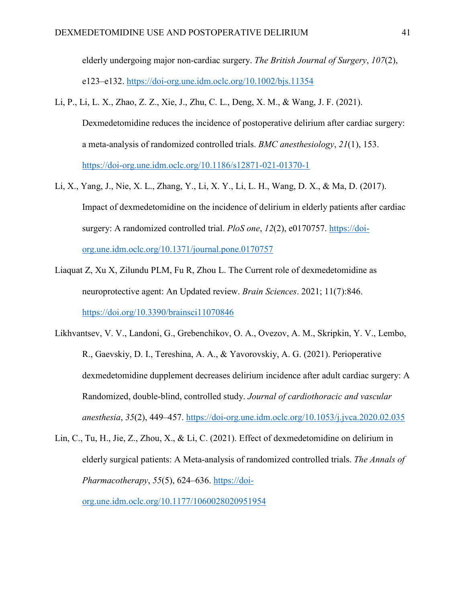elderly undergoing major non-cardiac surgery. *The British Journal of Surgery*, *107*(2), e123–e132.<https://doi-org.une.idm.oclc.org/10.1002/bjs.11354>

- Li, P., Li, L. X., Zhao, Z. Z., Xie, J., Zhu, C. L., Deng, X. M., & Wang, J. F. (2021). Dexmedetomidine reduces the incidence of postoperative delirium after cardiac surgery: a meta-analysis of randomized controlled trials. *BMC anesthesiology*, *21*(1), 153. <https://doi-org.une.idm.oclc.org/10.1186/s12871-021-01370-1>
- Li, X., Yang, J., Nie, X. L., Zhang, Y., Li, X. Y., Li, L. H., Wang, D. X., & Ma, D. (2017). Impact of dexmedetomidine on the incidence of delirium in elderly patients after cardiac surgery: A randomized controlled trial. *PloS one*, *12*(2), e0170757. [https://doi](https://doi-org.une.idm.oclc.org/10.1371/journal.pone.0170757)[org.une.idm.oclc.org/10.1371/journal.pone.0170757](https://doi-org.une.idm.oclc.org/10.1371/journal.pone.0170757)
- Liaquat Z, Xu X, Zilundu PLM, Fu R, Zhou L. The Current role of dexmedetomidine as neuroprotective agent: An Updated review. *Brain Sciences*. 2021; 11(7):846. <https://doi.org/10.3390/brainsci11070846>
- Likhvantsev, V. V., Landoni, G., Grebenchikov, O. A., Ovezov, A. M., Skripkin, Y. V., Lembo, R., Gaevskiy, D. I., Tereshina, A. A., & Yavorovskiy, A. G. (2021). Perioperative dexmedetomidine dupplement decreases delirium incidence after adult cardiac surgery: A Randomized, double-blind, controlled study. *Journal of cardiothoracic and vascular anesthesia*, *35*(2), 449–457.<https://doi-org.une.idm.oclc.org/10.1053/j.jvca.2020.02.035>
- Lin, C., Tu, H., Jie, Z., Zhou, X., & Li, C. (2021). Effect of dexmedetomidine on delirium in elderly surgical patients: A Meta-analysis of randomized controlled trials. *The Annals of Pharmacotherapy*, *55*(5), 624–636. [https://doi](https://doi-org.une.idm.oclc.org/10.1177/1060028020951954)[org.une.idm.oclc.org/10.1177/1060028020951954](https://doi-org.une.idm.oclc.org/10.1177/1060028020951954)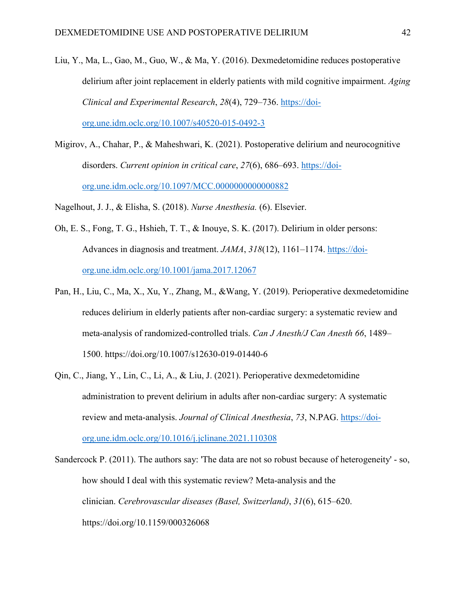- Liu, Y., Ma, L., Gao, M., Guo, W., & Ma, Y. (2016). Dexmedetomidine reduces postoperative delirium after joint replacement in elderly patients with mild cognitive impairment. *Aging Clinical and Experimental Research*, *28*(4), 729–736. [https://doi](https://doi-org.une.idm.oclc.org/10.1007/s40520-015-0492-3)[org.une.idm.oclc.org/10.1007/s40520-015-0492-3](https://doi-org.une.idm.oclc.org/10.1007/s40520-015-0492-3)
- Migirov, A., Chahar, P., & Maheshwari, K. (2021). Postoperative delirium and neurocognitive disorders. *Current opinion in critical care*, *27*(6), 686–693. [https://doi](https://doi-org.une.idm.oclc.org/10.1097/MCC.0000000000000882)[org.une.idm.oclc.org/10.1097/MCC.0000000000000882](https://doi-org.une.idm.oclc.org/10.1097/MCC.0000000000000882)

Nagelhout, J. J., & Elisha, S. (2018). *Nurse Anesthesia.* (6). Elsevier.

- Oh, E. S., Fong, T. G., Hshieh, T. T., & Inouye, S. K. (2017). Delirium in older persons: Advances in diagnosis and treatment. *JAMA*, *318*(12), 1161–1174. https://doiorg.une.idm.oclc.org/10.1001/jama.2017.12067
- Pan, H., Liu, C., Ma, X., Xu, Y., Zhang, M., &Wang, Y. (2019). Perioperative dexmedetomidine reduces delirium in elderly patients after non-cardiac surgery: a systematic review and meta-analysis of randomized-controlled trials. *Can J Anesth/J Can Anesth 66*, 1489– 1500. https://doi.org/10.1007/s12630-019-01440-6
- Qin, C., Jiang, Y., Lin, C., Li, A., & Liu, J. (2021). Perioperative dexmedetomidine administration to prevent delirium in adults after non-cardiac surgery: A systematic review and meta-analysis. *Journal of Clinical Anesthesia*, *73*, N.PAG. [https://doi](https://doi-org.une.idm.oclc.org/10.1016/j.jclinane.2021.110308)[org.une.idm.oclc.org/10.1016/j.jclinane.2021.110308](https://doi-org.une.idm.oclc.org/10.1016/j.jclinane.2021.110308)

Sandercock P. (2011). The authors say: 'The data are not so robust because of heterogeneity' - so, how should I deal with this systematic review? Meta-analysis and the clinician. *Cerebrovascular diseases (Basel, Switzerland)*, *31*(6), 615–620. https://doi.org/10.1159/000326068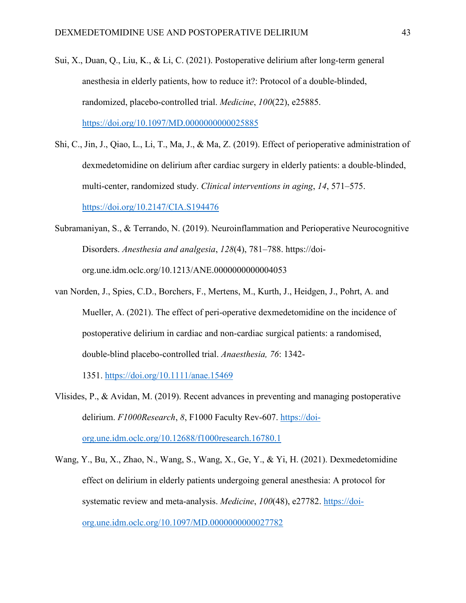- Sui, X., Duan, Q., Liu, K., & Li, C. (2021). Postoperative delirium after long-term general anesthesia in elderly patients, how to reduce it?: Protocol of a double-blinded, randomized, placebo-controlled trial. *Medicine*, *100*(22), e25885. <https://doi.org/10.1097/MD.0000000000025885>
- Shi, C., Jin, J., Qiao, L., Li, T., Ma, J., & Ma, Z. (2019). Effect of perioperative administration of dexmedetomidine on delirium after cardiac surgery in elderly patients: a double-blinded, multi-center, randomized study. *Clinical interventions in aging*, *14*, 571–575. <https://doi.org/10.2147/CIA.S194476>
- Subramaniyan, S., & Terrando, N. (2019). Neuroinflammation and Perioperative Neurocognitive Disorders. *Anesthesia and analgesia*, *128*(4), 781–788. https://doiorg.une.idm.oclc.org/10.1213/ANE.0000000000004053
- van Norden, J., Spies, C.D., Borchers, F., Mertens, M., Kurth, J., Heidgen, J., Pohrt, A. and Mueller, A. (2021). The effect of peri-operative dexmedetomidine on the incidence of postoperative delirium in cardiac and non-cardiac surgical patients: a randomised, double-blind placebo-controlled trial. *Anaesthesia, 76*: 1342-

1351.<https://doi.org/10.1111/anae.15469>

- Vlisides, P., & Avidan, M. (2019). Recent advances in preventing and managing postoperative delirium. *F1000Research*, *8*, F1000 Faculty Rev-607. [https://doi](https://doi-org.une.idm.oclc.org/10.12688/f1000research.16780.1)[org.une.idm.oclc.org/10.12688/f1000research.16780.1](https://doi-org.une.idm.oclc.org/10.12688/f1000research.16780.1)
- Wang, Y., Bu, X., Zhao, N., Wang, S., Wang, X., Ge, Y., & Yi, H. (2021). Dexmedetomidine effect on delirium in elderly patients undergoing general anesthesia: A protocol for systematic review and meta-analysis. *Medicine*, *100*(48), e27782. [https://doi](https://doi-org.une.idm.oclc.org/10.1097/MD.0000000000027782)[org.une.idm.oclc.org/10.1097/MD.0000000000027782](https://doi-org.une.idm.oclc.org/10.1097/MD.0000000000027782)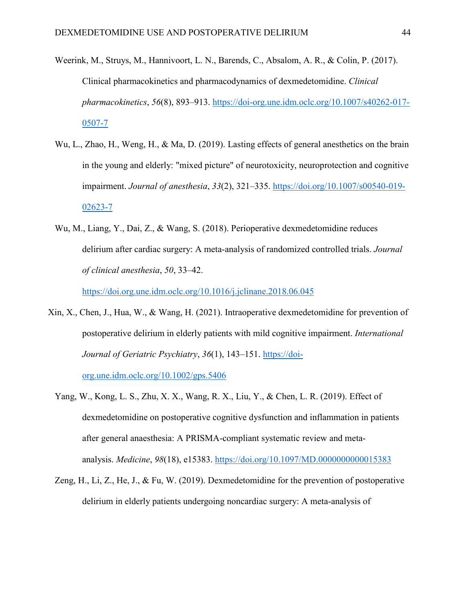- Weerink, M., Struys, M., Hannivoort, L. N., Barends, C., Absalom, A. R., & Colin, P. (2017). Clinical pharmacokinetics and pharmacodynamics of dexmedetomidine. *Clinical pharmacokinetics*, *56*(8), 893–913. [https://doi-org.une.idm.oclc.org/10.1007/s40262-017-](https://doi-org.une.idm.oclc.org/10.1007/s40262-017-0507-7) [0507-7](https://doi-org.une.idm.oclc.org/10.1007/s40262-017-0507-7)
- Wu, L., Zhao, H., Weng, H., & Ma, D. (2019). Lasting effects of general anesthetics on the brain in the young and elderly: "mixed picture" of neurotoxicity, neuroprotection and cognitive impairment. *Journal of anesthesia*, *33*(2), 321–335. [https://doi.org/10.1007/s00540-019-](https://doi.org/10.1007/s00540-019-02623-7) [02623-7](https://doi.org/10.1007/s00540-019-02623-7)
- Wu, M., Liang, Y., Dai, Z., & Wang, S. (2018). Perioperative dexmedetomidine reduces delirium after cardiac surgery: A meta-analysis of randomized controlled trials. *Journal of clinical anesthesia*, *50*, 33–42.

<https://doi.org.une.idm.oclc.org/10.1016/j.jclinane.2018.06.045>

Xin, X., Chen, J., Hua, W., & Wang, H. (2021). Intraoperative dexmedetomidine for prevention of postoperative delirium in elderly patients with mild cognitive impairment. *International Journal of Geriatric Psychiatry*, *36*(1), 143–151. [https://doi-](https://doi-org.une.idm.oclc.org/10.1002/gps.5406)

[org.une.idm.oclc.org/10.1002/gps.5406](https://doi-org.une.idm.oclc.org/10.1002/gps.5406)

- Yang, W., Kong, L. S., Zhu, X. X., Wang, R. X., Liu, Y., & Chen, L. R. (2019). Effect of dexmedetomidine on postoperative cognitive dysfunction and inflammation in patients after general anaesthesia: A PRISMA-compliant systematic review and metaanalysis. *Medicine*, *98*(18), e15383.<https://doi.org/10.1097/MD.0000000000015383>
- Zeng, H., Li, Z., He, J., & Fu, W. (2019). Dexmedetomidine for the prevention of postoperative delirium in elderly patients undergoing noncardiac surgery: A meta-analysis of